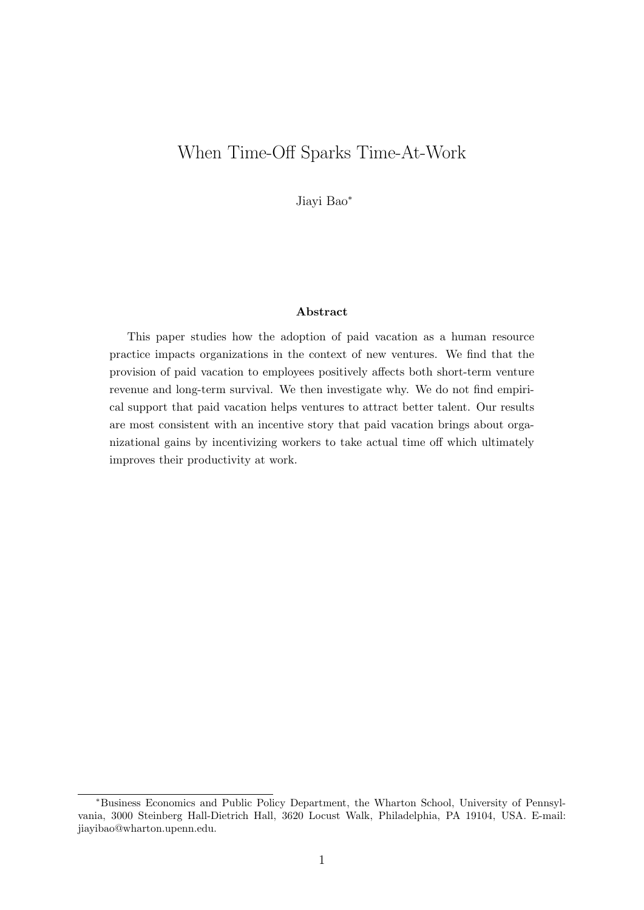# When Time-Off Sparks Time-At-Work

Jiayi Bao<sup>∗</sup>

#### Abstract

This paper studies how the adoption of paid vacation as a human resource practice impacts organizations in the context of new ventures. We find that the provision of paid vacation to employees positively affects both short-term venture revenue and long-term survival. We then investigate why. We do not find empirical support that paid vacation helps ventures to attract better talent. Our results are most consistent with an incentive story that paid vacation brings about organizational gains by incentivizing workers to take actual time off which ultimately improves their productivity at work.

<sup>∗</sup>Business Economics and Public Policy Department, the Wharton School, University of Pennsylvania, 3000 Steinberg Hall-Dietrich Hall, 3620 Locust Walk, Philadelphia, PA 19104, USA. E-mail: jiayibao@wharton.upenn.edu.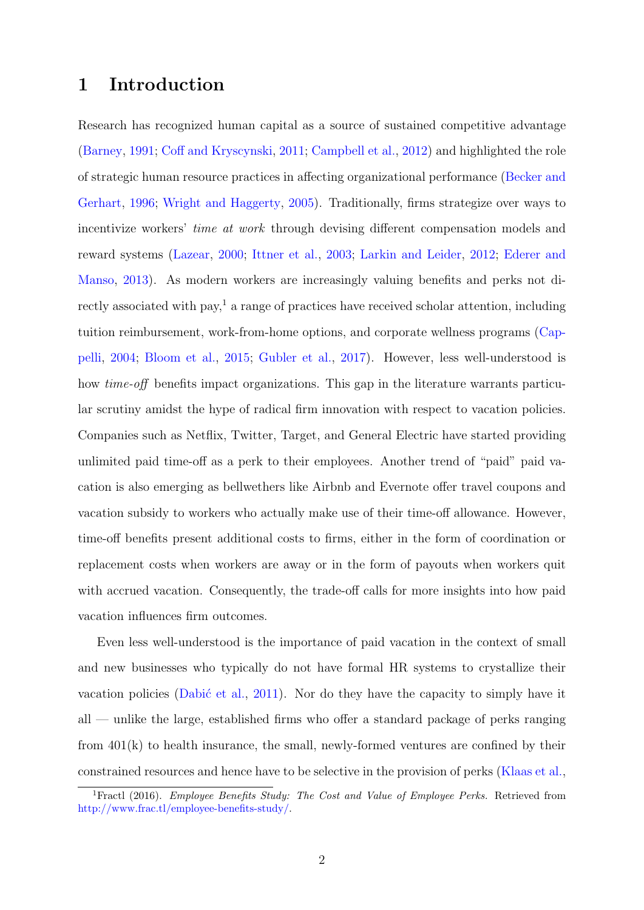## 1 Introduction

Research has recognized human capital as a source of sustained competitive advantage [\(Barney,](#page-20-0) [1991;](#page-20-0) [Coff and Kryscynski,](#page-21-0) [2011;](#page-21-0) [Campbell et al.,](#page-20-1) [2012\)](#page-20-1) and highlighted the role of strategic human resource practices in affecting organizational performance [\(Becker and](#page-20-2) [Gerhart,](#page-20-2) [1996;](#page-20-2) [Wright and Haggerty,](#page-23-0) [2005\)](#page-23-0). Traditionally, firms strategize over ways to incentivize workers' time at work through devising different compensation models and reward systems [\(Lazear,](#page-22-0) [2000;](#page-22-0) [Ittner et al.,](#page-22-1) [2003;](#page-22-1) [Larkin and Leider,](#page-22-2) [2012;](#page-22-2) [Ederer and](#page-21-1) [Manso,](#page-21-1) [2013\)](#page-21-1). As modern workers are increasingly valuing benefits and perks not di-rectly associated with pay,<sup>[1](#page-1-0)</sup> a range of practices have received scholar attention, including tuition reimbursement, work-from-home options, and corporate wellness programs [\(Cap](#page-20-3)[pelli,](#page-20-3) [2004;](#page-20-3) [Bloom et al.,](#page-20-4) [2015;](#page-20-4) [Gubler et al.,](#page-21-2) [2017\)](#page-21-2). However, less well-understood is how *time-off* benefits impact organizations. This gap in the literature warrants particular scrutiny amidst the hype of radical firm innovation with respect to vacation policies. Companies such as Netflix, Twitter, Target, and General Electric have started providing unlimited paid time-off as a perk to their employees. Another trend of "paid" paid vacation is also emerging as bellwethers like Airbnb and Evernote offer travel coupons and vacation subsidy to workers who actually make use of their time-off allowance. However, time-off benefits present additional costs to firms, either in the form of coordination or replacement costs when workers are away or in the form of payouts when workers quit with accrued vacation. Consequently, the trade-off calls for more insights into how paid vacation influences firm outcomes.

Even less well-understood is the importance of paid vacation in the context of small and new businesses who typically do not have formal HR systems to crystallize their vacation policies (Dabić et al., [2011\)](#page-21-3). Nor do they have the capacity to simply have it all — unlike the large, established firms who offer a standard package of perks ranging from 401(k) to health insurance, the small, newly-formed ventures are confined by their constrained resources and hence have to be selective in the provision of perks [\(Klaas et al.,](#page-22-3)

<span id="page-1-0"></span><sup>&</sup>lt;sup>1</sup>Fractl (2016). *Employee Benefits Study: The Cost and Value of Employee Perks.* Retrieved from [http://www.frac.tl/employee-benefits-study/.](http://www.frac.tl/employee-benefits-study/)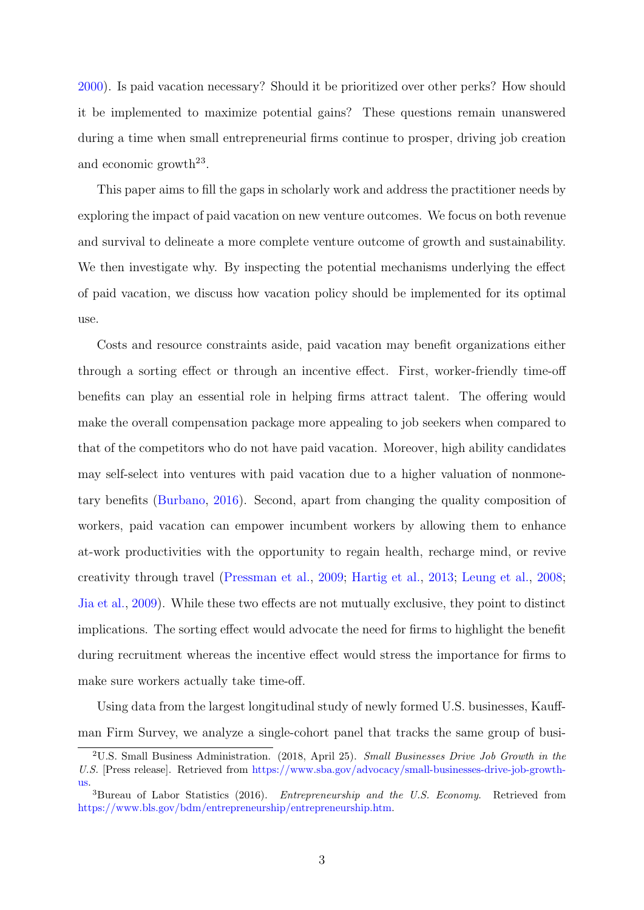[2000\)](#page-22-3). Is paid vacation necessary? Should it be prioritized over other perks? How should it be implemented to maximize potential gains? These questions remain unanswered during a time when small entrepreneurial firms continue to prosper, driving job creation and economic growth<sup>[2](#page-2-0)[3](#page-2-1)</sup>.

This paper aims to fill the gaps in scholarly work and address the practitioner needs by exploring the impact of paid vacation on new venture outcomes. We focus on both revenue and survival to delineate a more complete venture outcome of growth and sustainability. We then investigate why. By inspecting the potential mechanisms underlying the effect of paid vacation, we discuss how vacation policy should be implemented for its optimal use.

Costs and resource constraints aside, paid vacation may benefit organizations either through a sorting effect or through an incentive effect. First, worker-friendly time-off benefits can play an essential role in helping firms attract talent. The offering would make the overall compensation package more appealing to job seekers when compared to that of the competitors who do not have paid vacation. Moreover, high ability candidates may self-select into ventures with paid vacation due to a higher valuation of nonmonetary benefits [\(Burbano,](#page-20-5) [2016\)](#page-20-5). Second, apart from changing the quality composition of workers, paid vacation can empower incumbent workers by allowing them to enhance at-work productivities with the opportunity to regain health, recharge mind, or revive creativity through travel [\(Pressman et al.,](#page-23-1) [2009;](#page-23-1) [Hartig et al.,](#page-22-4) [2013;](#page-22-4) [Leung et al.,](#page-23-2) [2008;](#page-23-2) [Jia et al.,](#page-22-5) [2009\)](#page-22-5). While these two effects are not mutually exclusive, they point to distinct implications. The sorting effect would advocate the need for firms to highlight the benefit during recruitment whereas the incentive effect would stress the importance for firms to make sure workers actually take time-off.

Using data from the largest longitudinal study of newly formed U.S. businesses, Kauffman Firm Survey, we analyze a single-cohort panel that tracks the same group of busi-

<span id="page-2-0"></span><sup>&</sup>lt;sup>2</sup>U.S. Small Business Administration. (2018, April 25). Small Businesses Drive Job Growth in the U.S. [Press release]. Retrieved from [https://www.sba.gov/advocacy/small-businesses-drive-job-growth](https://www.sba.gov/advocacy/small-businesses-drive-job-growth-us)[us.](https://www.sba.gov/advocacy/small-businesses-drive-job-growth-us)

<span id="page-2-1"></span> ${}^{3}$ Bureau of Labor Statistics (2016). *Entrepreneurship and the U.S. Economy.* Retrieved from [https://www.bls.gov/bdm/entrepreneurship/entrepreneurship.htm.](https://www.bls.gov/bdm/entrepreneurship/entrepreneurship.htm)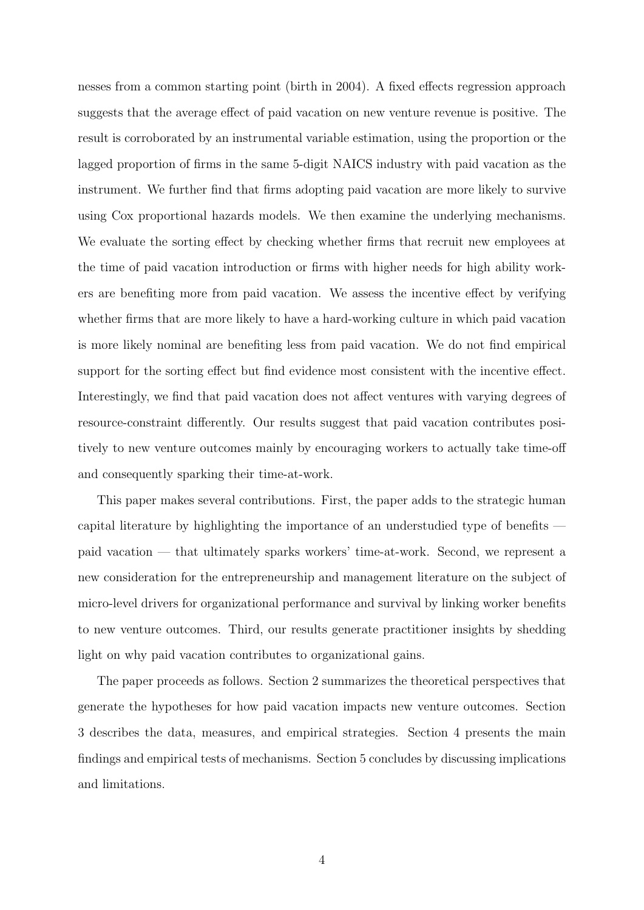nesses from a common starting point (birth in 2004). A fixed effects regression approach suggests that the average effect of paid vacation on new venture revenue is positive. The result is corroborated by an instrumental variable estimation, using the proportion or the lagged proportion of firms in the same 5-digit NAICS industry with paid vacation as the instrument. We further find that firms adopting paid vacation are more likely to survive using Cox proportional hazards models. We then examine the underlying mechanisms. We evaluate the sorting effect by checking whether firms that recruit new employees at the time of paid vacation introduction or firms with higher needs for high ability workers are benefiting more from paid vacation. We assess the incentive effect by verifying whether firms that are more likely to have a hard-working culture in which paid vacation is more likely nominal are benefiting less from paid vacation. We do not find empirical support for the sorting effect but find evidence most consistent with the incentive effect. Interestingly, we find that paid vacation does not affect ventures with varying degrees of resource-constraint differently. Our results suggest that paid vacation contributes positively to new venture outcomes mainly by encouraging workers to actually take time-off and consequently sparking their time-at-work.

This paper makes several contributions. First, the paper adds to the strategic human capital literature by highlighting the importance of an understudied type of benefits paid vacation — that ultimately sparks workers' time-at-work. Second, we represent a new consideration for the entrepreneurship and management literature on the subject of micro-level drivers for organizational performance and survival by linking worker benefits to new venture outcomes. Third, our results generate practitioner insights by shedding light on why paid vacation contributes to organizational gains.

The paper proceeds as follows. Section [2](#page-4-0) summarizes the theoretical perspectives that generate the hypotheses for how paid vacation impacts new venture outcomes. Section [3](#page-9-0) describes the data, measures, and empirical strategies. Section [4](#page-13-0) presents the main findings and empirical tests of mechanisms. Section [5](#page-17-0) concludes by discussing implications and limitations.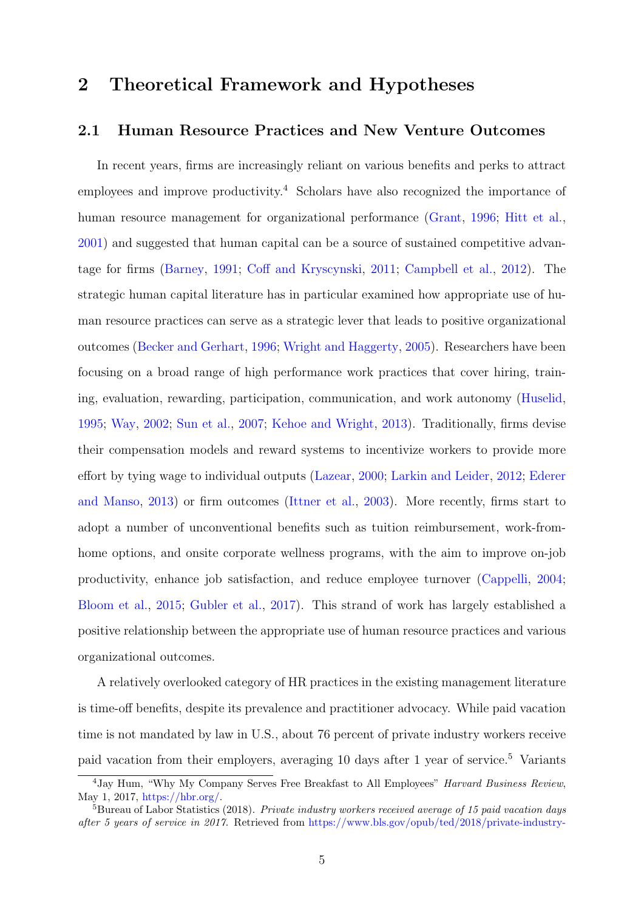# <span id="page-4-0"></span>2 Theoretical Framework and Hypotheses

## 2.1 Human Resource Practices and New Venture Outcomes

In recent years, firms are increasingly reliant on various benefits and perks to attract employees and improve productivity.<sup>[4](#page-4-1)</sup> Scholars have also recognized the importance of human resource management for organizational performance [\(Grant,](#page-21-4) [1996;](#page-21-4) [Hitt et al.,](#page-22-6) [2001\)](#page-22-6) and suggested that human capital can be a source of sustained competitive advantage for firms [\(Barney,](#page-20-0) [1991;](#page-20-0) [Coff and Kryscynski,](#page-21-0) [2011;](#page-21-0) [Campbell et al.,](#page-20-1) [2012\)](#page-20-1). The strategic human capital literature has in particular examined how appropriate use of human resource practices can serve as a strategic lever that leads to positive organizational outcomes [\(Becker and Gerhart,](#page-20-2) [1996;](#page-20-2) [Wright and Haggerty,](#page-23-0) [2005\)](#page-23-0). Researchers have been focusing on a broad range of high performance work practices that cover hiring, training, evaluation, rewarding, participation, communication, and work autonomy [\(Huselid,](#page-22-7) [1995;](#page-22-7) [Way,](#page-23-3) [2002;](#page-23-3) [Sun et al.,](#page-23-4) [2007;](#page-23-4) [Kehoe and Wright,](#page-22-8) [2013\)](#page-22-8). Traditionally, firms devise their compensation models and reward systems to incentivize workers to provide more effort by tying wage to individual outputs [\(Lazear,](#page-22-0) [2000;](#page-22-0) [Larkin and Leider,](#page-22-2) [2012;](#page-22-2) [Ederer](#page-21-1) [and Manso,](#page-21-1) [2013\)](#page-21-1) or firm outcomes [\(Ittner et al.,](#page-22-1) [2003\)](#page-22-1). More recently, firms start to adopt a number of unconventional benefits such as tuition reimbursement, work-fromhome options, and onsite corporate wellness programs, with the aim to improve on-job productivity, enhance job satisfaction, and reduce employee turnover [\(Cappelli,](#page-20-3) [2004;](#page-20-3) [Bloom et al.,](#page-20-4) [2015;](#page-20-4) [Gubler et al.,](#page-21-2) [2017\)](#page-21-2). This strand of work has largely established a positive relationship between the appropriate use of human resource practices and various organizational outcomes.

A relatively overlooked category of HR practices in the existing management literature is time-off benefits, despite its prevalence and practitioner advocacy. While paid vacation time is not mandated by law in U.S., about 76 percent of private industry workers receive paid vacation from their employers, averaging 10 days after 1 year of service.[5](#page-4-2) Variants

<span id="page-4-1"></span><sup>&</sup>lt;sup>4</sup> Jay Hum, "Why My Company Serves Free Breakfast to All Employees" *Harvard Business Review*, May 1, 2017, [https://hbr.org/.](https://hbr.org/)

<span id="page-4-2"></span> ${}^{5}$ Bureau of Labor Statistics (2018). Private industry workers received average of 15 paid vacation days after 5 years of service in 2017. Retrieved from [https://www.bls.gov/opub/ted/2018/private-industry-](https://www.bls.gov/opub/ted/2018/private-industry-workers-received-average-of-15-paid-vacation-days-after-5-years-of-service-in-2017.htm)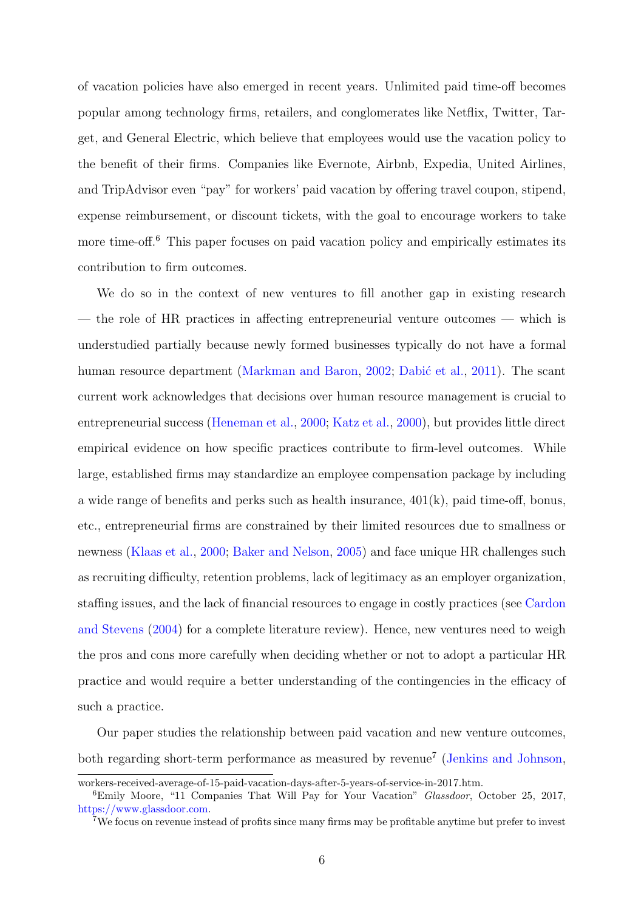[of vacation policies have also emerged in recent years. Unlimited paid time-off becomes](https://www.bls.gov/opub/ted/2018/private-industry-workers-received-average-of-15-paid-vacation-days-after-5-years-of-service-in-2017.htm) [popular among technology firms, retailers, and conglomerates like Netflix, Twitter, Tar](https://www.bls.gov/opub/ted/2018/private-industry-workers-received-average-of-15-paid-vacation-days-after-5-years-of-service-in-2017.htm)[get, and General Electric, which believe that employees would use the vacation policy to](https://www.bls.gov/opub/ted/2018/private-industry-workers-received-average-of-15-paid-vacation-days-after-5-years-of-service-in-2017.htm) [the benefit of their firms. Companies like Evernote, Airbnb, Expedia, United Airlines,](https://www.bls.gov/opub/ted/2018/private-industry-workers-received-average-of-15-paid-vacation-days-after-5-years-of-service-in-2017.htm) [and TripAdvisor even "pay" for workers' paid vacation by offering travel coupon, stipend,](https://www.bls.gov/opub/ted/2018/private-industry-workers-received-average-of-15-paid-vacation-days-after-5-years-of-service-in-2017.htm) [expense reimbursement, or discount tickets, with the goal to encourage workers to take](https://www.bls.gov/opub/ted/2018/private-industry-workers-received-average-of-15-paid-vacation-days-after-5-years-of-service-in-2017.htm) more time-off.<sup>[6](#page-5-0)</sup> [This paper focuses on paid vacation policy and empirically estimates its](https://www.bls.gov/opub/ted/2018/private-industry-workers-received-average-of-15-paid-vacation-days-after-5-years-of-service-in-2017.htm) [contribution to firm outcomes.](https://www.bls.gov/opub/ted/2018/private-industry-workers-received-average-of-15-paid-vacation-days-after-5-years-of-service-in-2017.htm)

[We do so in the context of new ventures to fill another gap in existing research](https://www.bls.gov/opub/ted/2018/private-industry-workers-received-average-of-15-paid-vacation-days-after-5-years-of-service-in-2017.htm) [— the role of HR practices in affecting entrepreneurial venture outcomes — which is](https://www.bls.gov/opub/ted/2018/private-industry-workers-received-average-of-15-paid-vacation-days-after-5-years-of-service-in-2017.htm) [understudied partially because newly formed businesses typically do not have a formal](https://www.bls.gov/opub/ted/2018/private-industry-workers-received-average-of-15-paid-vacation-days-after-5-years-of-service-in-2017.htm) [human resource department \(Markman and Baron,](https://www.bls.gov/opub/ted/2018/private-industry-workers-received-average-of-15-paid-vacation-days-after-5-years-of-service-in-2017.htm) [2002;](#page-23-5) Dabić et al., [2011\)](#page-21-3). The scant [current work acknowledges that decisions over human resource management is crucial to](https://www.bls.gov/opub/ted/2018/private-industry-workers-received-average-of-15-paid-vacation-days-after-5-years-of-service-in-2017.htm) [entrepreneurial success \(Heneman et al.,](https://www.bls.gov/opub/ted/2018/private-industry-workers-received-average-of-15-paid-vacation-days-after-5-years-of-service-in-2017.htm) [2000;](#page-22-9) [Katz et al.,](#page-22-10) [2000\)](#page-22-10), but provides little direct [empirical evidence on how specific practices contribute to firm-level outcomes. While](https://www.bls.gov/opub/ted/2018/private-industry-workers-received-average-of-15-paid-vacation-days-after-5-years-of-service-in-2017.htm) [large, established firms may standardize an employee compensation package by including](https://www.bls.gov/opub/ted/2018/private-industry-workers-received-average-of-15-paid-vacation-days-after-5-years-of-service-in-2017.htm) [a wide range of benefits and perks such as health insurance, 401\(k\), paid time-off, bonus,](https://www.bls.gov/opub/ted/2018/private-industry-workers-received-average-of-15-paid-vacation-days-after-5-years-of-service-in-2017.htm) [etc., entrepreneurial firms are constrained by their limited resources due to smallness or](https://www.bls.gov/opub/ted/2018/private-industry-workers-received-average-of-15-paid-vacation-days-after-5-years-of-service-in-2017.htm) newness [\(Klaas et al.,](#page-22-3) [2000;](#page-22-3) [Baker and Nelson,](#page-20-6) [2005\) and face unique HR challenges such](https://www.bls.gov/opub/ted/2018/private-industry-workers-received-average-of-15-paid-vacation-days-after-5-years-of-service-in-2017.htm) [as recruiting difficulty, retention problems, lack of legitimacy as an employer organization,](https://www.bls.gov/opub/ted/2018/private-industry-workers-received-average-of-15-paid-vacation-days-after-5-years-of-service-in-2017.htm) [staffing issues, and the lack of financial resources to engage in costly practices \(see](https://www.bls.gov/opub/ted/2018/private-industry-workers-received-average-of-15-paid-vacation-days-after-5-years-of-service-in-2017.htm) [Cardon](#page-21-5) [and Stevens](#page-21-5) [\(2004\) for a complete literature review\). Hence, new ventures need to weigh](https://www.bls.gov/opub/ted/2018/private-industry-workers-received-average-of-15-paid-vacation-days-after-5-years-of-service-in-2017.htm) [the pros and cons more carefully when deciding whether or not to adopt a particular HR](https://www.bls.gov/opub/ted/2018/private-industry-workers-received-average-of-15-paid-vacation-days-after-5-years-of-service-in-2017.htm) [practice and would require a better understanding of the contingencies in the efficacy of](https://www.bls.gov/opub/ted/2018/private-industry-workers-received-average-of-15-paid-vacation-days-after-5-years-of-service-in-2017.htm) [such a practice.](https://www.bls.gov/opub/ted/2018/private-industry-workers-received-average-of-15-paid-vacation-days-after-5-years-of-service-in-2017.htm)

[Our paper studies the relationship between paid vacation and new venture outcomes,](https://www.bls.gov/opub/ted/2018/private-industry-workers-received-average-of-15-paid-vacation-days-after-5-years-of-service-in-2017.htm) [both regarding short-term performance as measured by revenue](https://www.bls.gov/opub/ted/2018/private-industry-workers-received-average-of-15-paid-vacation-days-after-5-years-of-service-in-2017.htm)<sup>[7](#page-5-1)</sup> [\(Jenkins and Johnson,](#page-22-11)

[workers-received-average-of-15-paid-vacation-days-after-5-years-of-service-in-2017.htm.](https://www.bls.gov/opub/ted/2018/private-industry-workers-received-average-of-15-paid-vacation-days-after-5-years-of-service-in-2017.htm)

<span id="page-5-0"></span><sup>&</sup>lt;sup>6</sup>Emily Moore, "11 Companies That Will Pay for Your Vacation" *Glassdoor*, October 25, 2017, [https://www.glassdoor.com.](https://www.glassdoor.com)

<span id="page-5-1"></span><sup>7</sup>We focus on revenue instead of profits since many firms may be profitable anytime but prefer to invest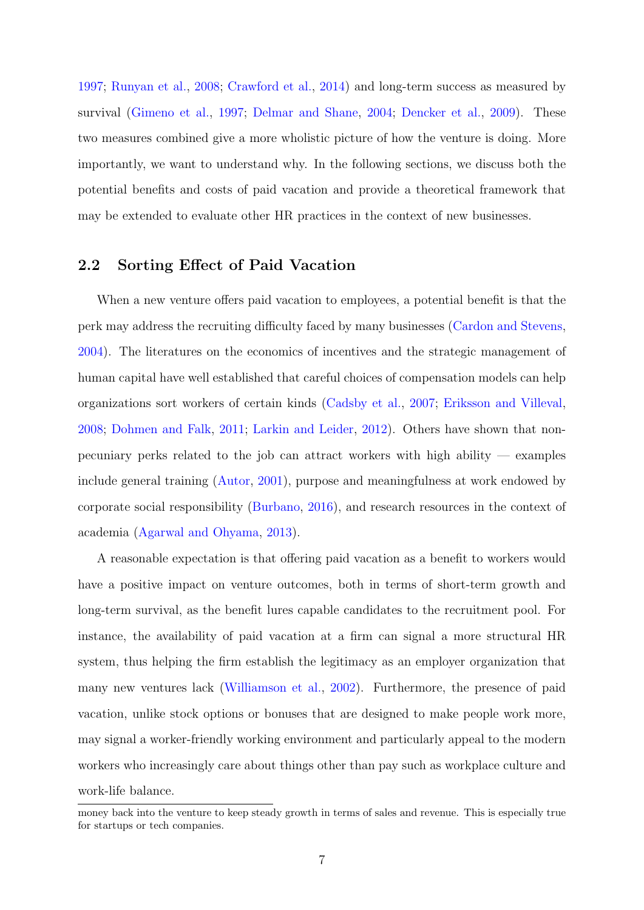[1997;](#page-22-11) [Runyan et al.,](#page-23-6) [2008;](#page-23-6) [Crawford et al.,](#page-21-6) [2014\)](#page-21-6) and long-term success as measured by survival [\(Gimeno et al.,](#page-21-7) [1997;](#page-21-7) [Delmar and Shane,](#page-21-8) [2004;](#page-21-8) [Dencker et al.,](#page-21-9) [2009\)](#page-21-9). These two measures combined give a more wholistic picture of how the venture is doing. More importantly, we want to understand why. In the following sections, we discuss both the potential benefits and costs of paid vacation and provide a theoretical framework that may be extended to evaluate other HR practices in the context of new businesses.

## 2.2 Sorting Effect of Paid Vacation

When a new venture offers paid vacation to employees, a potential benefit is that the perk may address the recruiting difficulty faced by many businesses [\(Cardon and Stevens,](#page-21-5) [2004\)](#page-21-5). The literatures on the economics of incentives and the strategic management of human capital have well established that careful choices of compensation models can help organizations sort workers of certain kinds [\(Cadsby et al.,](#page-20-7) [2007;](#page-20-7) [Eriksson and Villeval,](#page-21-10) [2008;](#page-21-10) [Dohmen and Falk,](#page-21-11) [2011;](#page-21-11) [Larkin and Leider,](#page-22-2) [2012\)](#page-22-2). Others have shown that nonpecuniary perks related to the job can attract workers with high ability — examples include general training [\(Autor,](#page-20-8) [2001\)](#page-20-8), purpose and meaningfulness at work endowed by corporate social responsibility [\(Burbano,](#page-20-5) [2016\)](#page-20-5), and research resources in the context of academia [\(Agarwal and Ohyama,](#page-20-9) [2013\)](#page-20-9).

A reasonable expectation is that offering paid vacation as a benefit to workers would have a positive impact on venture outcomes, both in terms of short-term growth and long-term survival, as the benefit lures capable candidates to the recruitment pool. For instance, the availability of paid vacation at a firm can signal a more structural HR system, thus helping the firm establish the legitimacy as an employer organization that many new ventures lack [\(Williamson et al.,](#page-23-7) [2002\)](#page-23-7). Furthermore, the presence of paid vacation, unlike stock options or bonuses that are designed to make people work more, may signal a worker-friendly working environment and particularly appeal to the modern workers who increasingly care about things other than pay such as workplace culture and work-life balance.

money back into the venture to keep steady growth in terms of sales and revenue. This is especially true for startups or tech companies.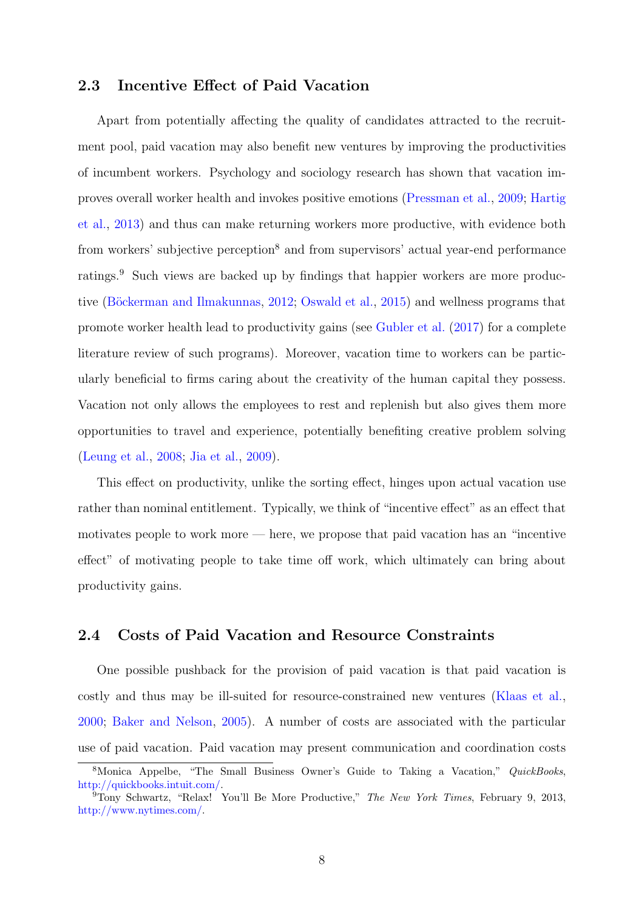## 2.3 Incentive Effect of Paid Vacation

Apart from potentially affecting the quality of candidates attracted to the recruitment pool, paid vacation may also benefit new ventures by improving the productivities of incumbent workers. Psychology and sociology research has shown that vacation improves overall worker health and invokes positive emotions [\(Pressman et al.,](#page-23-1) [2009;](#page-23-1) [Hartig](#page-22-4) [et al.,](#page-22-4) [2013\)](#page-22-4) and thus can make returning workers more productive, with evidence both from workers' subjective perception<sup>[8](#page-7-0)</sup> and from supervisors' actual year-end performance ratings.<sup>[9](#page-7-1)</sup> Such views are backed up by findings that happier workers are more produc-tive (Böckerman and Ilmakunnas, [2012;](#page-20-10) [Oswald et al.,](#page-23-8) [2015\)](#page-23-8) and wellness programs that promote worker health lead to productivity gains (see [Gubler et al.](#page-21-2) [\(2017\)](#page-21-2) for a complete literature review of such programs). Moreover, vacation time to workers can be particularly beneficial to firms caring about the creativity of the human capital they possess. Vacation not only allows the employees to rest and replenish but also gives them more opportunities to travel and experience, potentially benefiting creative problem solving [\(Leung et al.,](#page-23-2) [2008;](#page-23-2) [Jia et al.,](#page-22-5) [2009\)](#page-22-5).

This effect on productivity, unlike the sorting effect, hinges upon actual vacation use rather than nominal entitlement. Typically, we think of "incentive effect" as an effect that motivates people to work more — here, we propose that paid vacation has an "incentive effect" of motivating people to take time off work, which ultimately can bring about productivity gains.

### 2.4 Costs of Paid Vacation and Resource Constraints

One possible pushback for the provision of paid vacation is that paid vacation is costly and thus may be ill-suited for resource-constrained new ventures [\(Klaas et al.,](#page-22-3) [2000;](#page-22-3) [Baker and Nelson,](#page-20-6) [2005\)](#page-20-6). A number of costs are associated with the particular use of paid vacation. Paid vacation may present communication and coordination costs

<span id="page-7-0"></span><sup>8</sup>Monica Appelbe, "The Small Business Owner's Guide to Taking a Vacation," QuickBooks, [http://quickbooks.intuit.com/.](http://quickbooks.intuit.com/)

<span id="page-7-1"></span> $9$ Tony Schwartz, "Relax! You'll Be More Productive," The New York Times, February 9, 2013, [http://www.nytimes.com/.](http://www.nytimes.com/)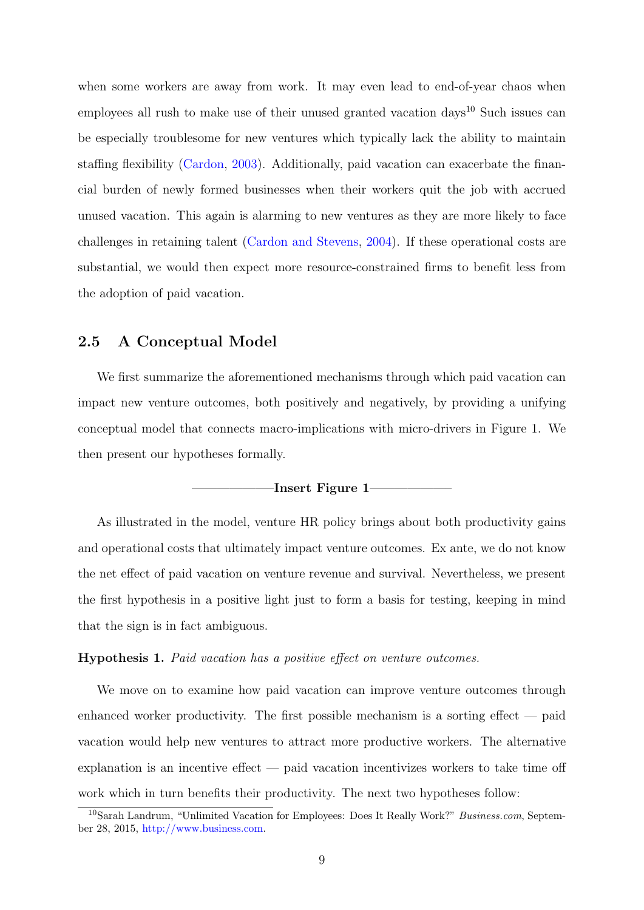when some workers are away from work. It may even lead to end-of-year chaos when employees all rush to make use of their unused granted vacation days<sup>[10](#page-8-0)</sup> Such issues can be especially troublesome for new ventures which typically lack the ability to maintain staffing flexibility [\(Cardon,](#page-20-11) [2003\)](#page-20-11). Additionally, paid vacation can exacerbate the financial burden of newly formed businesses when their workers quit the job with accrued unused vacation. This again is alarming to new ventures as they are more likely to face challenges in retaining talent [\(Cardon and Stevens,](#page-21-5) [2004\)](#page-21-5). If these operational costs are substantial, we would then expect more resource-constrained firms to benefit less from the adoption of paid vacation.

## 2.5 A Conceptual Model

We first summarize the aforementioned mechanisms through which paid vacation can impact new venture outcomes, both positively and negatively, by providing a unifying conceptual model that connects macro-implications with micro-drivers in Figure [1.](#page-24-0) We then present our hypotheses formally.

#### -Insert [Figure 1](#page-24-0)

As illustrated in the model, venture HR policy brings about both productivity gains and operational costs that ultimately impact venture outcomes. Ex ante, we do not know the net effect of paid vacation on venture revenue and survival. Nevertheless, we present the first hypothesis in a positive light just to form a basis for testing, keeping in mind that the sign is in fact ambiguous.

#### <span id="page-8-1"></span>Hypothesis 1. Paid vacation has a positive effect on venture outcomes.

We move on to examine how paid vacation can improve venture outcomes through enhanced worker productivity. The first possible mechanism is a sorting effect  $-$  paid vacation would help new ventures to attract more productive workers. The alternative explanation is an incentive effect — paid vacation incentivizes workers to take time off work which in turn benefits their productivity. The next two hypotheses follow:

<span id="page-8-0"></span><sup>&</sup>lt;sup>10</sup>Sarah Landrum, "Unlimited Vacation for Employees: Does It Really Work?" Business.com, September 28, 2015, [http://www.business.com.](http://www.business.com)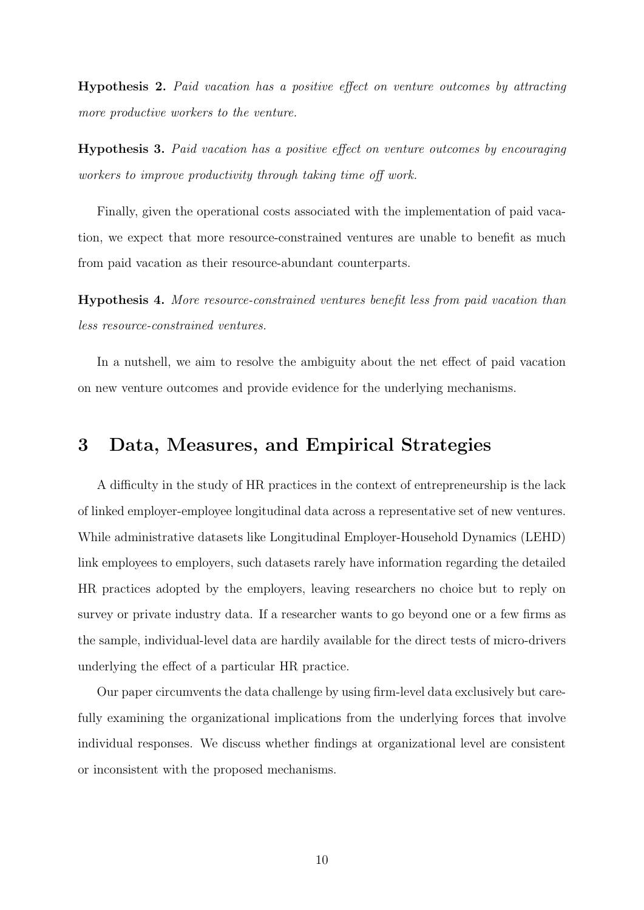<span id="page-9-1"></span>Hypothesis 2. Paid vacation has a positive effect on venture outcomes by attracting more productive workers to the venture.

<span id="page-9-2"></span>Hypothesis 3. Paid vacation has a positive effect on venture outcomes by encouraging workers to improve productivity through taking time off work.

Finally, given the operational costs associated with the implementation of paid vacation, we expect that more resource-constrained ventures are unable to benefit as much from paid vacation as their resource-abundant counterparts.

<span id="page-9-3"></span>Hypothesis 4. More resource-constrained ventures benefit less from paid vacation than less resource-constrained ventures.

In a nutshell, we aim to resolve the ambiguity about the net effect of paid vacation on new venture outcomes and provide evidence for the underlying mechanisms.

## <span id="page-9-0"></span>3 Data, Measures, and Empirical Strategies

A difficulty in the study of HR practices in the context of entrepreneurship is the lack of linked employer-employee longitudinal data across a representative set of new ventures. While administrative datasets like Longitudinal Employer-Household Dynamics (LEHD) link employees to employers, such datasets rarely have information regarding the detailed HR practices adopted by the employers, leaving researchers no choice but to reply on survey or private industry data. If a researcher wants to go beyond one or a few firms as the sample, individual-level data are hardily available for the direct tests of micro-drivers underlying the effect of a particular HR practice.

Our paper circumvents the data challenge by using firm-level data exclusively but carefully examining the organizational implications from the underlying forces that involve individual responses. We discuss whether findings at organizational level are consistent or inconsistent with the proposed mechanisms.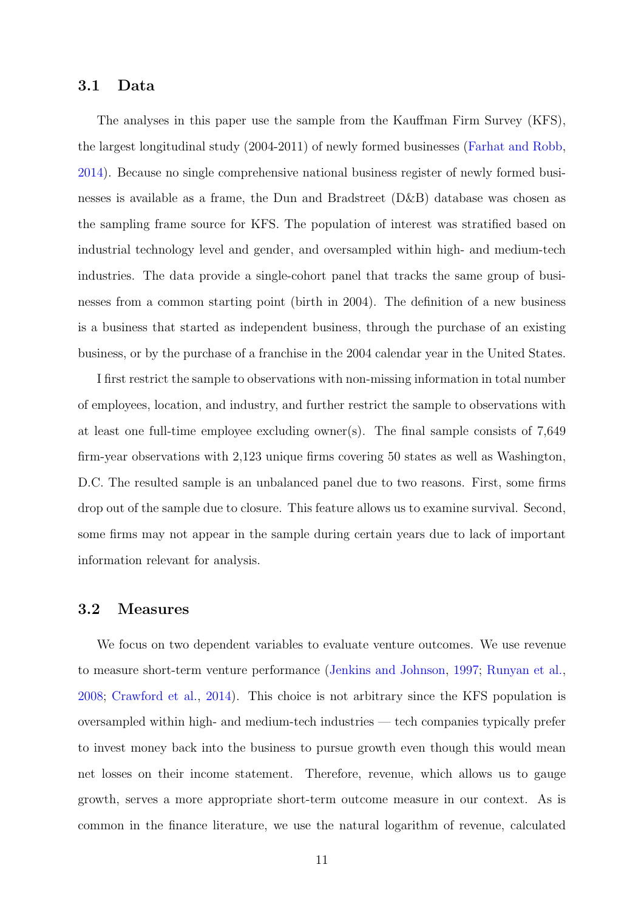### 3.1 Data

The analyses in this paper use the sample from the Kauffman Firm Survey (KFS), the largest longitudinal study (2004-2011) of newly formed businesses [\(Farhat and Robb,](#page-21-12) [2014\)](#page-21-12). Because no single comprehensive national business register of newly formed businesses is available as a frame, the Dun and Bradstreet (D&B) database was chosen as the sampling frame source for KFS. The population of interest was stratified based on industrial technology level and gender, and oversampled within high- and medium-tech industries. The data provide a single-cohort panel that tracks the same group of businesses from a common starting point (birth in 2004). The definition of a new business is a business that started as independent business, through the purchase of an existing business, or by the purchase of a franchise in the 2004 calendar year in the United States.

I first restrict the sample to observations with non-missing information in total number of employees, location, and industry, and further restrict the sample to observations with at least one full-time employee excluding owner(s). The final sample consists of 7,649 firm-year observations with 2,123 unique firms covering 50 states as well as Washington, D.C. The resulted sample is an unbalanced panel due to two reasons. First, some firms drop out of the sample due to closure. This feature allows us to examine survival. Second, some firms may not appear in the sample during certain years due to lack of important information relevant for analysis.

### 3.2 Measures

We focus on two dependent variables to evaluate venture outcomes. We use revenue to measure short-term venture performance [\(Jenkins and Johnson,](#page-22-11) [1997;](#page-22-11) [Runyan et al.,](#page-23-6) [2008;](#page-23-6) [Crawford et al.,](#page-21-6) [2014\)](#page-21-6). This choice is not arbitrary since the KFS population is oversampled within high- and medium-tech industries — tech companies typically prefer to invest money back into the business to pursue growth even though this would mean net losses on their income statement. Therefore, revenue, which allows us to gauge growth, serves a more appropriate short-term outcome measure in our context. As is common in the finance literature, we use the natural logarithm of revenue, calculated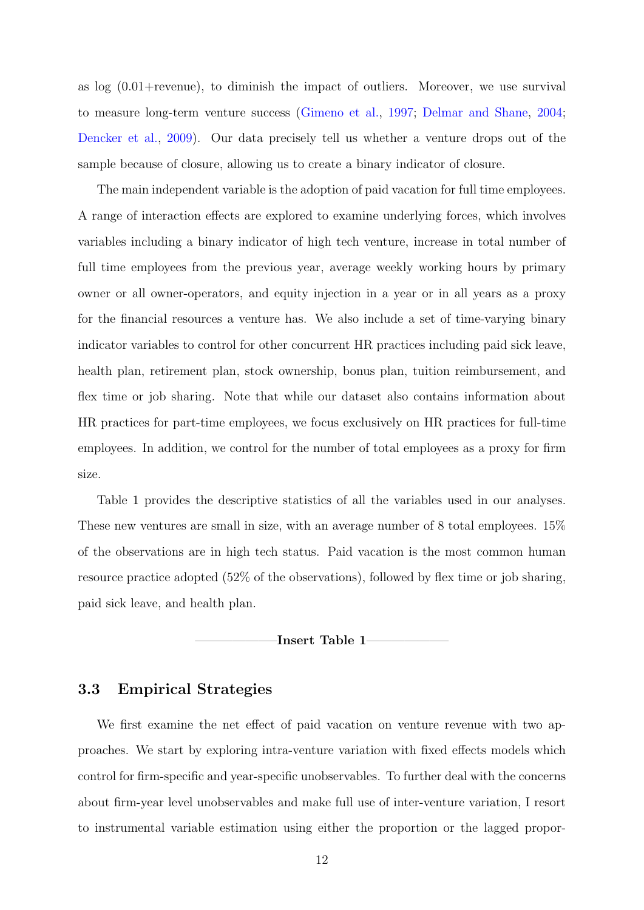as  $\log(0.01 + \text{revenue})$ , to diminish the impact of outliers. Moreover, we use survival to measure long-term venture success [\(Gimeno et al.,](#page-21-7) [1997;](#page-21-7) [Delmar and Shane,](#page-21-8) [2004;](#page-21-8) [Dencker et al.,](#page-21-9) [2009\)](#page-21-9). Our data precisely tell us whether a venture drops out of the sample because of closure, allowing us to create a binary indicator of closure.

The main independent variable is the adoption of paid vacation for full time employees. A range of interaction effects are explored to examine underlying forces, which involves variables including a binary indicator of high tech venture, increase in total number of full time employees from the previous year, average weekly working hours by primary owner or all owner-operators, and equity injection in a year or in all years as a proxy for the financial resources a venture has. We also include a set of time-varying binary indicator variables to control for other concurrent HR practices including paid sick leave, health plan, retirement plan, stock ownership, bonus plan, tuition reimbursement, and flex time or job sharing. Note that while our dataset also contains information about HR practices for part-time employees, we focus exclusively on HR practices for full-time employees. In addition, we control for the number of total employees as a proxy for firm size.

Table 1 provides the descriptive statistics of all the variables used in our analyses. These new ventures are small in size, with an average number of 8 total employees. 15% of the observations are in high tech status. Paid vacation is the most common human resource practice adopted (52% of the observations), followed by flex time or job sharing, paid sick leave, and health plan.

-Insert [Table 1](#page-25-0)

## 3.3 Empirical Strategies

We first examine the net effect of paid vacation on venture revenue with two approaches. We start by exploring intra-venture variation with fixed effects models which control for firm-specific and year-specific unobservables. To further deal with the concerns about firm-year level unobservables and make full use of inter-venture variation, I resort to instrumental variable estimation using either the proportion or the lagged propor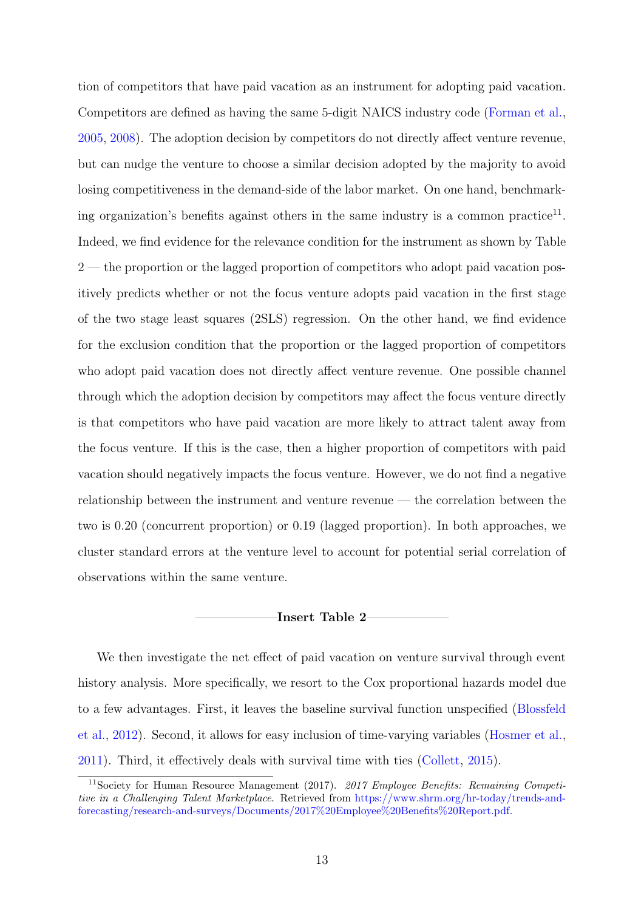tion of competitors that have paid vacation as an instrument for adopting paid vacation. Competitors are defined as having the same 5-digit NAICS industry code [\(Forman et al.,](#page-21-13) [2005,](#page-21-13) [2008\)](#page-21-14). The adoption decision by competitors do not directly affect venture revenue, but can nudge the venture to choose a similar decision adopted by the majority to avoid losing competitiveness in the demand-side of the labor market. On one hand, benchmark-ing organization's benefits against others in the same industry is a common practice<sup>[11](#page-12-0)</sup>. Indeed, we find evidence for the relevance condition for the instrument as shown by Table [2](#page-26-0) — the proportion or the lagged proportion of competitors who adopt paid vacation positively predicts whether or not the focus venture adopts paid vacation in the first stage of the two stage least squares (2SLS) regression. On the other hand, we find evidence for the exclusion condition that the proportion or the lagged proportion of competitors who adopt paid vacation does not directly affect venture revenue. One possible channel through which the adoption decision by competitors may affect the focus venture directly is that competitors who have paid vacation are more likely to attract talent away from the focus venture. If this is the case, then a higher proportion of competitors with paid vacation should negatively impacts the focus venture. However, we do not find a negative relationship between the instrument and venture revenue — the correlation between the two is 0.20 (concurrent proportion) or 0.19 (lagged proportion). In both approaches, we cluster standard errors at the venture level to account for potential serial correlation of observations within the same venture.

#### -Insert [Table 2](#page-26-0)

We then investigate the net effect of paid vacation on venture survival through event history analysis. More specifically, we resort to the Cox proportional hazards model due to a few advantages. First, it leaves the baseline survival function unspecified [\(Blossfeld](#page-20-12) [et al.,](#page-20-12) [2012\)](#page-20-12). Second, it allows for easy inclusion of time-varying variables [\(Hosmer et al.,](#page-22-12) [2011\)](#page-22-12). Third, it effectively deals with survival time with ties [\(Collett,](#page-21-15) [2015\)](#page-21-15).

<span id="page-12-0"></span><sup>&</sup>lt;sup>11</sup>Society for Human Resource Management (2017). 2017 Employee Benefits: Remaining Competitive in a Challenging Talent Marketplace. Retrieved from [https://www.shrm.org/hr-today/trends-and](https://www.shrm.org/hr-today/trends-and-forecasting/research-and-surveys/Documents/2017%20Employee%20Benefits%20Report.pdf)[forecasting/research-and-surveys/Documents/2017%20Employee%20Benefits%20Report.pdf.](https://www.shrm.org/hr-today/trends-and-forecasting/research-and-surveys/Documents/2017%20Employee%20Benefits%20Report.pdf)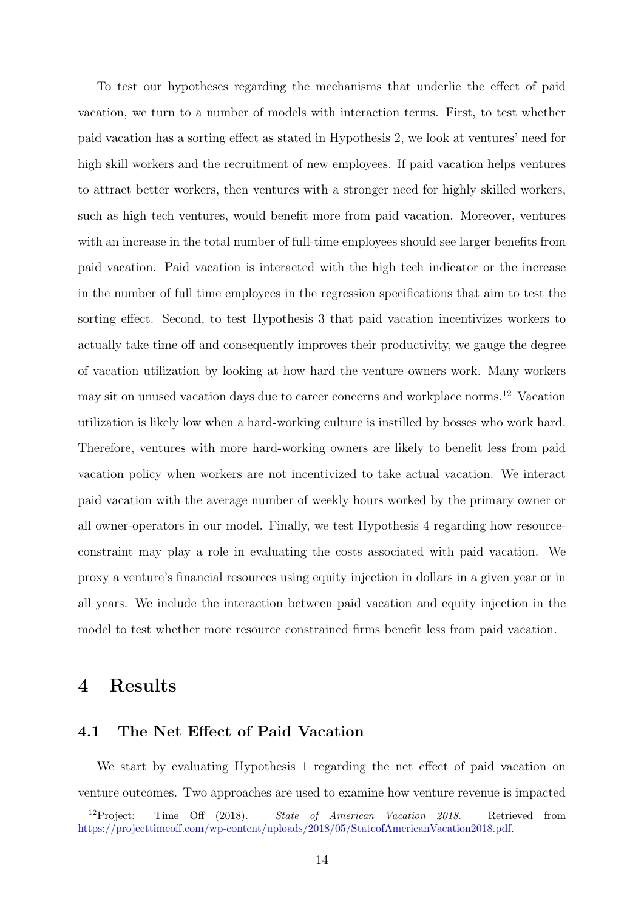To test our hypotheses regarding the mechanisms that underlie the effect of paid vacation, we turn to a number of models with interaction terms. First, to test whether paid vacation has a sorting effect as stated in Hypothesis 2, we look at ventures' need for high skill workers and the recruitment of new employees. If paid vacation helps ventures to attract better workers, then ventures with a stronger need for highly skilled workers, such as high tech ventures, would benefit more from paid vacation. Moreover, ventures with an increase in the total number of full-time employees should see larger benefits from paid vacation. Paid vacation is interacted with the high tech indicator or the increase in the number of full time employees in the regression specifications that aim to test the sorting effect. Second, to test Hypothesis 3 that paid vacation incentivizes workers to actually take time off and consequently improves their productivity, we gauge the degree of vacation utilization by looking at how hard the venture owners work. Many workers may sit on unused vacation days due to career concerns and workplace norms.[12](#page-13-1) Vacation utilization is likely low when a hard-working culture is instilled by bosses who work hard. Therefore, ventures with more hard-working owners are likely to benefit less from paid vacation policy when workers are not incentivized to take actual vacation. We interact paid vacation with the average number of weekly hours worked by the primary owner or all owner-operators in our model. Finally, we test Hypothesis 4 regarding how resourceconstraint may play a role in evaluating the costs associated with paid vacation. We proxy a venture's financial resources using equity injection in dollars in a given year or in all years. We include the interaction between paid vacation and equity injection in the model to test whether more resource constrained firms benefit less from paid vacation.

## <span id="page-13-0"></span>4 Results

## 4.1 The Net Effect of Paid Vacation

We start by evaluating Hypothesis [1](#page-8-1) regarding the net effect of paid vacation on venture outcomes. Two approaches are used to examine how venture revenue is impacted

<span id="page-13-1"></span><sup>&</sup>lt;sup>12</sup>Project: Time Off (2018). State of American Vacation 2018. Retrieved from [https://projecttimeoff.com/wp-content/uploads/2018/05/StateofAmericanVacation2018.pdf.](https://projecttimeoff.com/wp-content/uploads/2018/05/StateofAmericanVacation2018.pdf)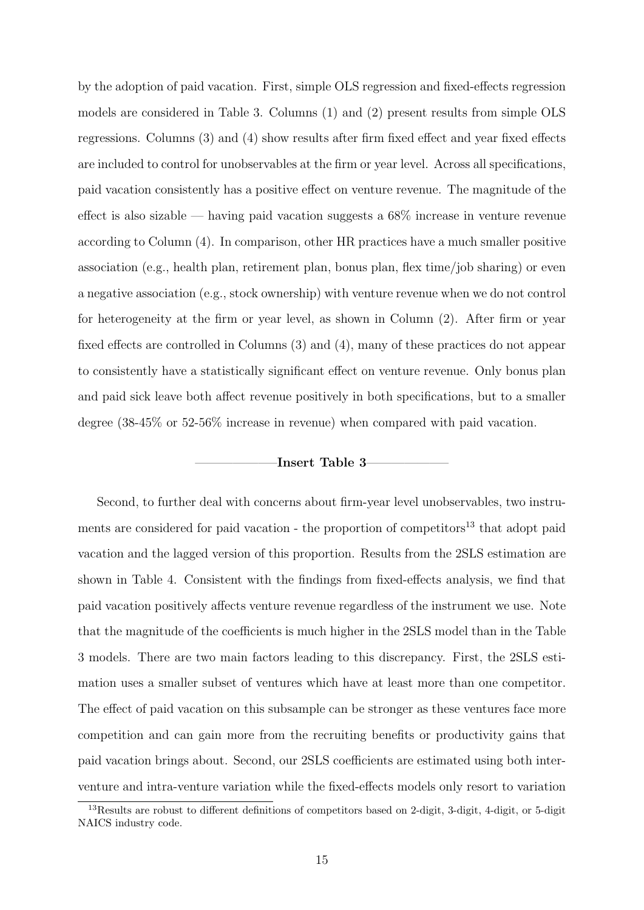by the adoption of paid vacation. First, simple OLS regression and fixed-effects regression models are considered in Table [3.](#page-26-1) Columns (1) and (2) present results from simple OLS regressions. Columns (3) and (4) show results after firm fixed effect and year fixed effects are included to control for unobservables at the firm or year level. Across all specifications, paid vacation consistently has a positive effect on venture revenue. The magnitude of the effect is also sizable — having paid vacation suggests a 68% increase in venture revenue according to Column (4). In comparison, other HR practices have a much smaller positive association (e.g., health plan, retirement plan, bonus plan, flex time/job sharing) or even a negative association (e.g., stock ownership) with venture revenue when we do not control for heterogeneity at the firm or year level, as shown in Column (2). After firm or year fixed effects are controlled in Columns (3) and (4), many of these practices do not appear to consistently have a statistically significant effect on venture revenue. Only bonus plan and paid sick leave both affect revenue positively in both specifications, but to a smaller degree (38-45% or 52-56% increase in revenue) when compared with paid vacation.

#### -Insert [Table 3](#page-26-1)-

Second, to further deal with concerns about firm-year level unobservables, two instru-ments are considered for paid vacation - the proportion of competitors<sup>[13](#page-14-0)</sup> that adopt paid vacation and the lagged version of this proportion. Results from the 2SLS estimation are shown in Table [4.](#page-27-0) Consistent with the findings from fixed-effects analysis, we find that paid vacation positively affects venture revenue regardless of the instrument we use. Note that the magnitude of the coefficients is much higher in the 2SLS model than in the Table [3](#page-26-1) models. There are two main factors leading to this discrepancy. First, the 2SLS estimation uses a smaller subset of ventures which have at least more than one competitor. The effect of paid vacation on this subsample can be stronger as these ventures face more competition and can gain more from the recruiting benefits or productivity gains that paid vacation brings about. Second, our 2SLS coefficients are estimated using both interventure and intra-venture variation while the fixed-effects models only resort to variation

<span id="page-14-0"></span><sup>13</sup>Results are robust to different definitions of competitors based on 2-digit, 3-digit, 4-digit, or 5-digit NAICS industry code.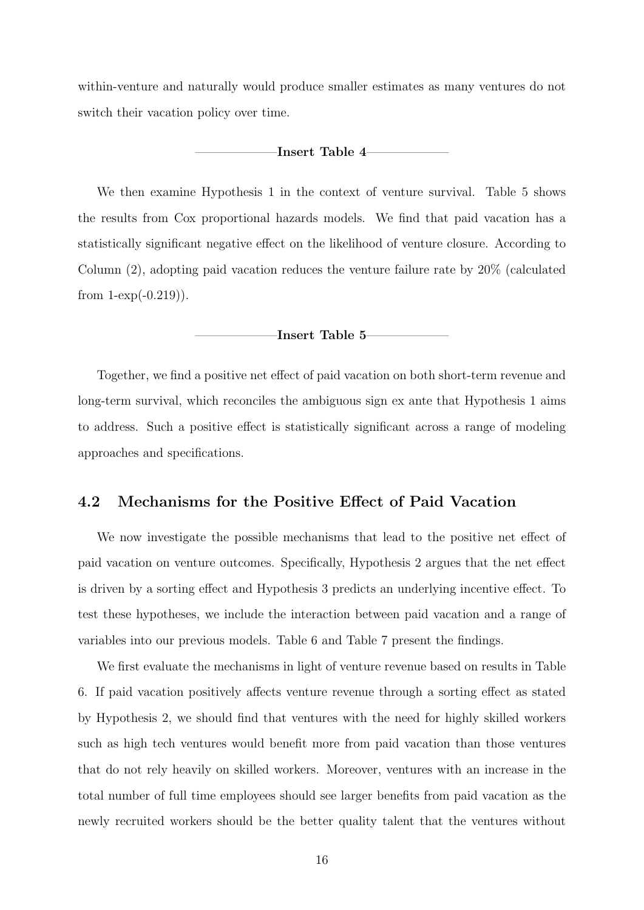within-venture and naturally would produce smaller estimates as many ventures do not switch their vacation policy over time.

-Insert [Table 4](#page-27-0)-

We then examine Hypothesis [1](#page-8-1) in the context of venture survival. Table [5](#page-28-0) shows the results from Cox proportional hazards models. We find that paid vacation has a statistically significant negative effect on the likelihood of venture closure. According to Column (2), adopting paid vacation reduces the venture failure rate by 20% (calculated from  $1$ - $\exp(-0.219)$ ).

### -Insert [Table 5](#page-28-0)–

Together, we find a positive net effect of paid vacation on both short-term revenue and long-term survival, which reconciles the ambiguous sign ex ante that Hypothesis [1](#page-8-1) aims to address. Such a positive effect is statistically significant across a range of modeling approaches and specifications.

## 4.2 Mechanisms for the Positive Effect of Paid Vacation

We now investigate the possible mechanisms that lead to the positive net effect of paid vacation on venture outcomes. Specifically, Hypothesis [2](#page-9-1) argues that the net effect is driven by a sorting effect and Hypothesis [3](#page-9-2) predicts an underlying incentive effect. To test these hypotheses, we include the interaction between paid vacation and a range of variables into our previous models. Table [6](#page-29-0) and Table [7](#page-30-0) present the findings.

We first evaluate the mechanisms in light of venture revenue based on results in Table [6.](#page-29-0) If paid vacation positively affects venture revenue through a sorting effect as stated by Hypothesis [2,](#page-9-1) we should find that ventures with the need for highly skilled workers such as high tech ventures would benefit more from paid vacation than those ventures that do not rely heavily on skilled workers. Moreover, ventures with an increase in the total number of full time employees should see larger benefits from paid vacation as the newly recruited workers should be the better quality talent that the ventures without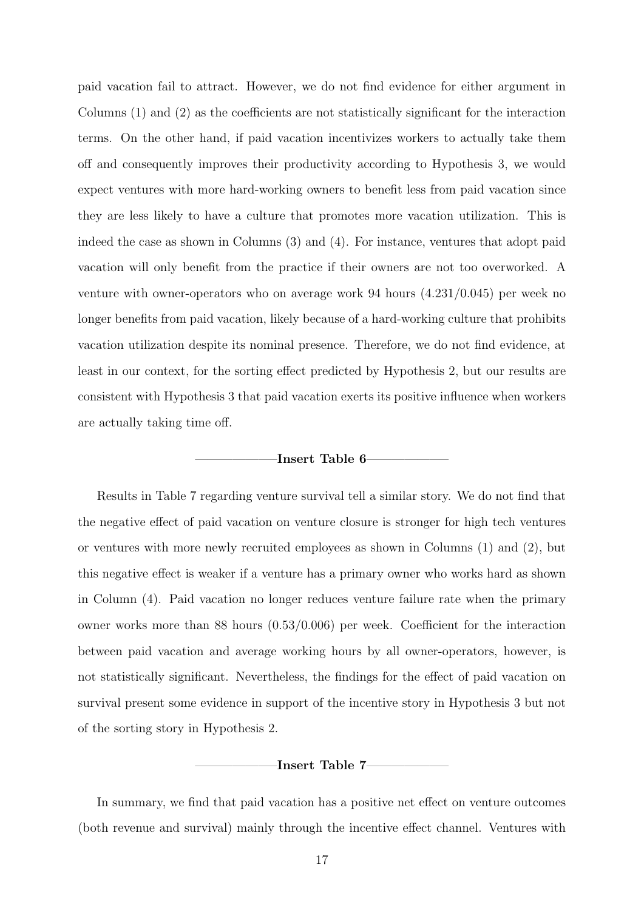paid vacation fail to attract. However, we do not find evidence for either argument in Columns (1) and (2) as the coefficients are not statistically significant for the interaction terms. On the other hand, if paid vacation incentivizes workers to actually take them off and consequently improves their productivity according to Hypothesis [3,](#page-9-2) we would expect ventures with more hard-working owners to benefit less from paid vacation since they are less likely to have a culture that promotes more vacation utilization. This is indeed the case as shown in Columns (3) and (4). For instance, ventures that adopt paid vacation will only benefit from the practice if their owners are not too overworked. A venture with owner-operators who on average work 94 hours (4.231/0.045) per week no longer benefits from paid vacation, likely because of a hard-working culture that prohibits vacation utilization despite its nominal presence. Therefore, we do not find evidence, at least in our context, for the sorting effect predicted by Hypothesis [2,](#page-9-1) but our results are consistent with Hypothesis [3](#page-9-2) that paid vacation exerts its positive influence when workers are actually taking time off.

#### -Insert [Table 6](#page-29-0)-

Results in Table [7](#page-30-0) regarding venture survival tell a similar story. We do not find that the negative effect of paid vacation on venture closure is stronger for high tech ventures or ventures with more newly recruited employees as shown in Columns (1) and (2), but this negative effect is weaker if a venture has a primary owner who works hard as shown in Column (4). Paid vacation no longer reduces venture failure rate when the primary owner works more than 88 hours (0.53/0.006) per week. Coefficient for the interaction between paid vacation and average working hours by all owner-operators, however, is not statistically significant. Nevertheless, the findings for the effect of paid vacation on survival present some evidence in support of the incentive story in Hypothesis [3](#page-9-2) but not of the sorting story in Hypothesis [2.](#page-9-1)

#### $-{\rm Insert~Table~7-}$

In summary, we find that paid vacation has a positive net effect on venture outcomes (both revenue and survival) mainly through the incentive effect channel. Ventures with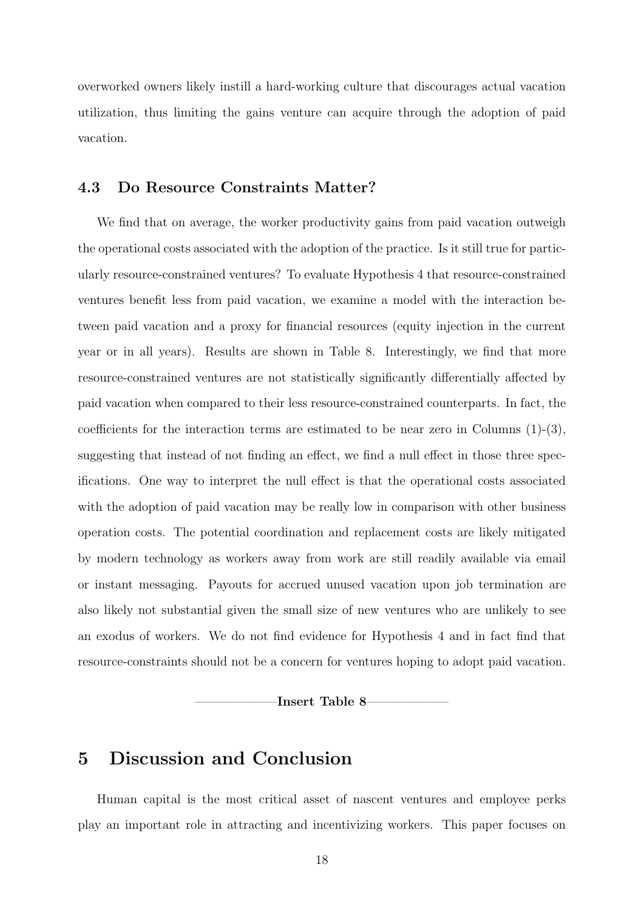overworked owners likely instill a hard-working culture that discourages actual vacation utilization, thus limiting the gains venture can acquire through the adoption of paid vacation.

## 4.3 Do Resource Constraints Matter?

We find that on average, the worker productivity gains from paid vacation outweigh the operational costs associated with the adoption of the practice. Is it still true for particularly resource-constrained ventures? To evaluate Hypothesis [4](#page-9-3) that resource-constrained ventures benefit less from paid vacation, we examine a model with the interaction between paid vacation and a proxy for financial resources (equity injection in the current year or in all years). Results are shown in Table [8.](#page-31-0) Interestingly, we find that more resource-constrained ventures are not statistically significantly differentially affected by paid vacation when compared to their less resource-constrained counterparts. In fact, the coefficients for the interaction terms are estimated to be near zero in Columns  $(1)-(3)$ , suggesting that instead of not finding an effect, we find a null effect in those three specifications. One way to interpret the null effect is that the operational costs associated with the adoption of paid vacation may be really low in comparison with other business operation costs. The potential coordination and replacement costs are likely mitigated by modern technology as workers away from work are still readily available via email or instant messaging. Payouts for accrued unused vacation upon job termination are also likely not substantial given the small size of new ventures who are unlikely to see an exodus of workers. We do not find evidence for Hypothesis [4](#page-9-3) and in fact find that resource-constraints should not be a concern for ventures hoping to adopt paid vacation.

-Insert [Table 8](#page-31-0)-

## <span id="page-17-0"></span>5 Discussion and Conclusion

Human capital is the most critical asset of nascent ventures and employee perks play an important role in attracting and incentivizing workers. This paper focuses on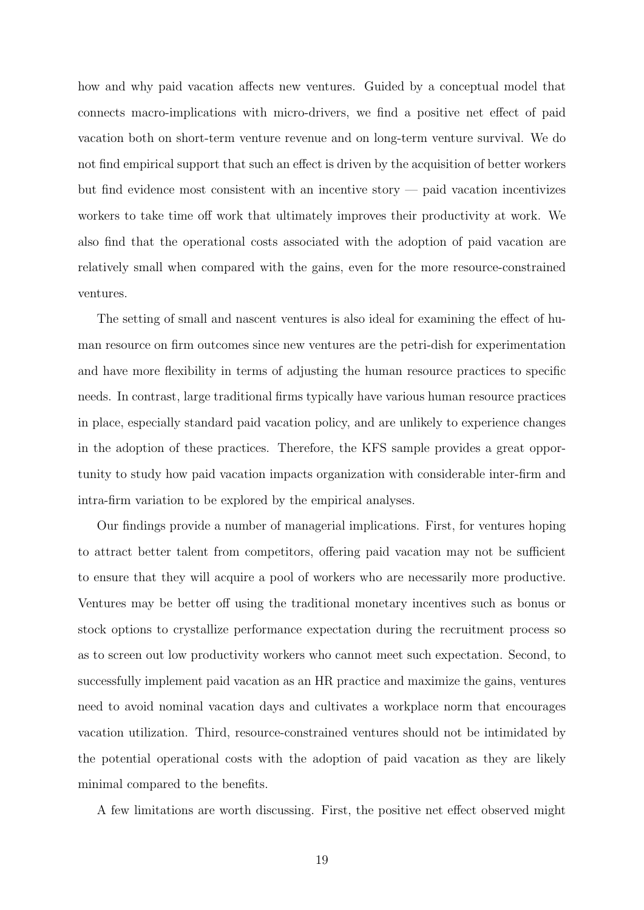how and why paid vacation affects new ventures. Guided by a conceptual model that connects macro-implications with micro-drivers, we find a positive net effect of paid vacation both on short-term venture revenue and on long-term venture survival. We do not find empirical support that such an effect is driven by the acquisition of better workers but find evidence most consistent with an incentive story — paid vacation incentivizes workers to take time off work that ultimately improves their productivity at work. We also find that the operational costs associated with the adoption of paid vacation are relatively small when compared with the gains, even for the more resource-constrained ventures.

The setting of small and nascent ventures is also ideal for examining the effect of human resource on firm outcomes since new ventures are the petri-dish for experimentation and have more flexibility in terms of adjusting the human resource practices to specific needs. In contrast, large traditional firms typically have various human resource practices in place, especially standard paid vacation policy, and are unlikely to experience changes in the adoption of these practices. Therefore, the KFS sample provides a great opportunity to study how paid vacation impacts organization with considerable inter-firm and intra-firm variation to be explored by the empirical analyses.

Our findings provide a number of managerial implications. First, for ventures hoping to attract better talent from competitors, offering paid vacation may not be sufficient to ensure that they will acquire a pool of workers who are necessarily more productive. Ventures may be better off using the traditional monetary incentives such as bonus or stock options to crystallize performance expectation during the recruitment process so as to screen out low productivity workers who cannot meet such expectation. Second, to successfully implement paid vacation as an HR practice and maximize the gains, ventures need to avoid nominal vacation days and cultivates a workplace norm that encourages vacation utilization. Third, resource-constrained ventures should not be intimidated by the potential operational costs with the adoption of paid vacation as they are likely minimal compared to the benefits.

A few limitations are worth discussing. First, the positive net effect observed might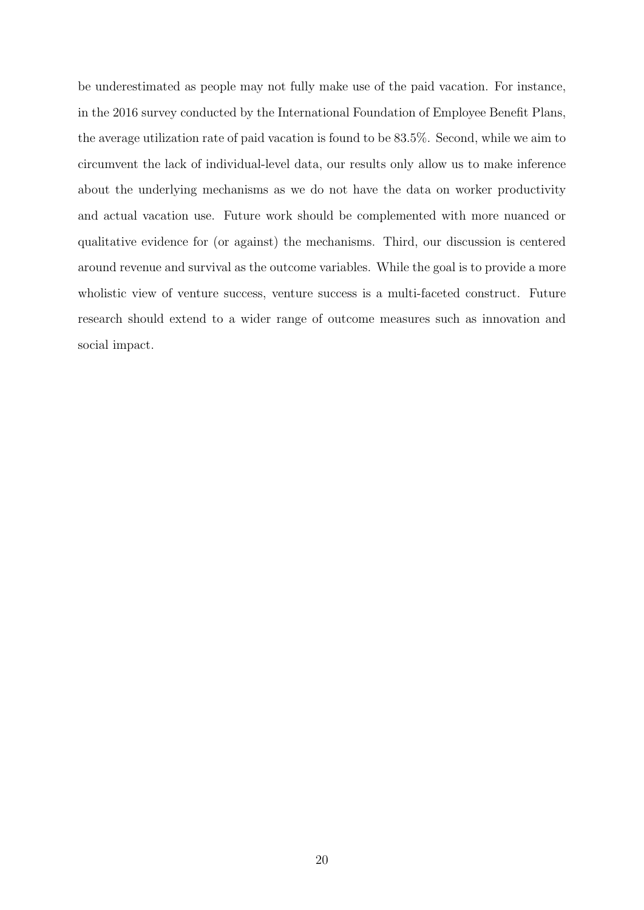be underestimated as people may not fully make use of the paid vacation. For instance, in the 2016 survey conducted by the International Foundation of Employee Benefit Plans, the average utilization rate of paid vacation is found to be 83.5%. Second, while we aim to circumvent the lack of individual-level data, our results only allow us to make inference about the underlying mechanisms as we do not have the data on worker productivity and actual vacation use. Future work should be complemented with more nuanced or qualitative evidence for (or against) the mechanisms. Third, our discussion is centered around revenue and survival as the outcome variables. While the goal is to provide a more wholistic view of venture success, venture success is a multi-faceted construct. Future research should extend to a wider range of outcome measures such as innovation and social impact.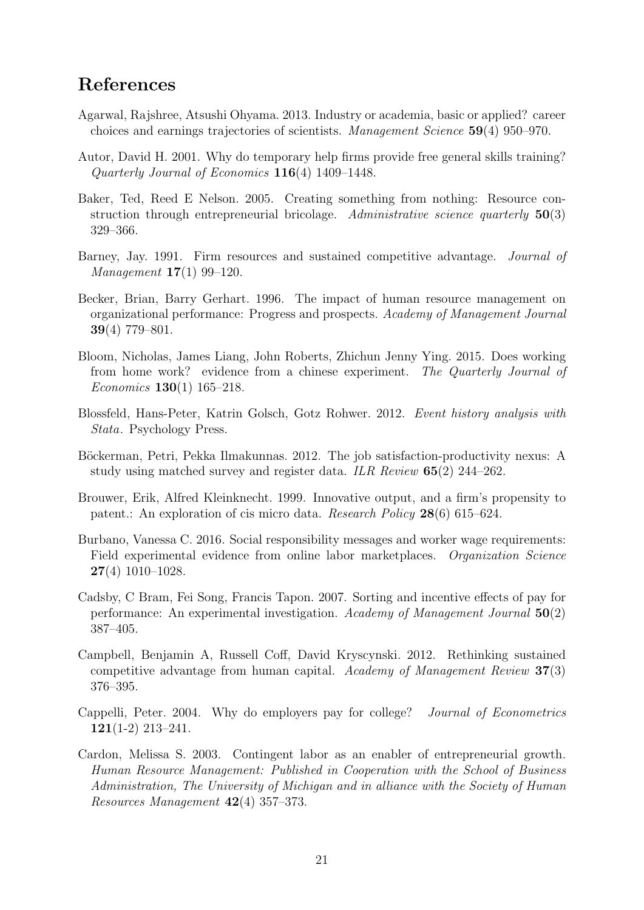# References

- <span id="page-20-9"></span>Agarwal, Rajshree, Atsushi Ohyama. 2013. Industry or academia, basic or applied? career choices and earnings trajectories of scientists. Management Science 59(4) 950–970.
- <span id="page-20-8"></span>Autor, David H. 2001. Why do temporary help firms provide free general skills training? Quarterly Journal of Economics 116(4) 1409–1448.
- <span id="page-20-6"></span>Baker, Ted, Reed E Nelson. 2005. Creating something from nothing: Resource construction through entrepreneurial bricolage. Administrative science quarterly  $50(3)$ 329–366.
- <span id="page-20-0"></span>Barney, Jay. 1991. Firm resources and sustained competitive advantage. Journal of Management 17(1) 99–120.
- <span id="page-20-2"></span>Becker, Brian, Barry Gerhart. 1996. The impact of human resource management on organizational performance: Progress and prospects. Academy of Management Journal 39(4) 779–801.
- <span id="page-20-4"></span>Bloom, Nicholas, James Liang, John Roberts, Zhichun Jenny Ying. 2015. Does working from home work? evidence from a chinese experiment. The Quarterly Journal of Economics 130(1) 165–218.
- <span id="page-20-12"></span>Blossfeld, Hans-Peter, Katrin Golsch, Gotz Rohwer. 2012. Event history analysis with Stata. Psychology Press.
- <span id="page-20-10"></span>Böckerman, Petri, Pekka Ilmakunnas. 2012. The job satisfaction-productivity nexus: A study using matched survey and register data. *ILR Review*  $65(2)$  244–262.
- Brouwer, Erik, Alfred Kleinknecht. 1999. Innovative output, and a firm's propensity to patent.: An exploration of cis micro data. Research Policy 28(6) 615–624.
- <span id="page-20-5"></span>Burbano, Vanessa C. 2016. Social responsibility messages and worker wage requirements: Field experimental evidence from online labor marketplaces. Organization Science 27(4) 1010–1028.
- <span id="page-20-7"></span>Cadsby, C Bram, Fei Song, Francis Tapon. 2007. Sorting and incentive effects of pay for performance: An experimental investigation. Academy of Management Journal 50(2) 387–405.
- <span id="page-20-1"></span>Campbell, Benjamin A, Russell Coff, David Kryscynski. 2012. Rethinking sustained competitive advantage from human capital. Academy of Management Review 37(3) 376–395.
- <span id="page-20-3"></span>Cappelli, Peter. 2004. Why do employers pay for college? Journal of Econometrics  $121(1-2)$  213-241.
- <span id="page-20-11"></span>Cardon, Melissa S. 2003. Contingent labor as an enabler of entrepreneurial growth. Human Resource Management: Published in Cooperation with the School of Business Administration, The University of Michigan and in alliance with the Society of Human Resources Management 42(4) 357–373.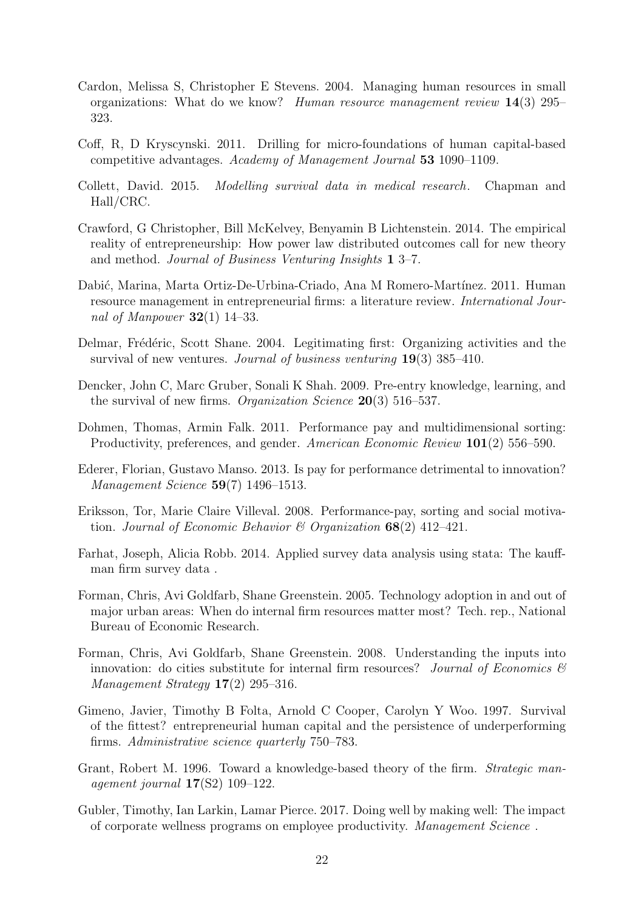- <span id="page-21-5"></span>Cardon, Melissa S, Christopher E Stevens. 2004. Managing human resources in small organizations: What do we know? Human resource management review  $14(3)$  295– 323.
- <span id="page-21-0"></span>Coff, R, D Kryscynski. 2011. Drilling for micro-foundations of human capital-based competitive advantages. Academy of Management Journal 53 1090–1109.
- <span id="page-21-15"></span>Collett, David. 2015. Modelling survival data in medical research. Chapman and Hall/CRC.
- <span id="page-21-6"></span>Crawford, G Christopher, Bill McKelvey, Benyamin B Lichtenstein. 2014. The empirical reality of entrepreneurship: How power law distributed outcomes call for new theory and method. Journal of Business Venturing Insights 1 3–7.
- <span id="page-21-3"></span>Dabić, Marina, Marta Ortiz-De-Urbina-Criado, Ana M Romero-Martínez. 2011. Human resource management in entrepreneurial firms: a literature review. International Journal of Manpower  $32(1)$  14–33.
- <span id="page-21-8"></span>Delmar, Frédéric, Scott Shane. 2004. Legitimating first: Organizing activities and the survival of new ventures. Journal of business venturing  $19(3)$  385–410.
- <span id="page-21-9"></span>Dencker, John C, Marc Gruber, Sonali K Shah. 2009. Pre-entry knowledge, learning, and the survival of new firms. *Organization Science* **20**(3) 516–537.
- <span id="page-21-11"></span>Dohmen, Thomas, Armin Falk. 2011. Performance pay and multidimensional sorting: Productivity, preferences, and gender. American Economic Review 101(2) 556–590.
- <span id="page-21-1"></span>Ederer, Florian, Gustavo Manso. 2013. Is pay for performance detrimental to innovation? Management Science 59(7) 1496–1513.
- <span id="page-21-10"></span>Eriksson, Tor, Marie Claire Villeval. 2008. Performance-pay, sorting and social motivation. Journal of Economic Behavior & Organization  $68(2)$  412–421.
- <span id="page-21-12"></span>Farhat, Joseph, Alicia Robb. 2014. Applied survey data analysis using stata: The kauffman firm survey data .
- <span id="page-21-13"></span>Forman, Chris, Avi Goldfarb, Shane Greenstein. 2005. Technology adoption in and out of major urban areas: When do internal firm resources matter most? Tech. rep., National Bureau of Economic Research.
- <span id="page-21-14"></span>Forman, Chris, Avi Goldfarb, Shane Greenstein. 2008. Understanding the inputs into innovation: do cities substitute for internal firm resources? Journal of Economics  $\mathcal{C}$ Management Strategy  $17(2)$  295–316.
- <span id="page-21-7"></span>Gimeno, Javier, Timothy B Folta, Arnold C Cooper, Carolyn Y Woo. 1997. Survival of the fittest? entrepreneurial human capital and the persistence of underperforming firms. Administrative science quarterly 750–783.
- <span id="page-21-4"></span>Grant, Robert M. 1996. Toward a knowledge-based theory of the firm. Strategic management journal  $17(S2)$  109-122.
- <span id="page-21-2"></span>Gubler, Timothy, Ian Larkin, Lamar Pierce. 2017. Doing well by making well: The impact of corporate wellness programs on employee productivity. Management Science .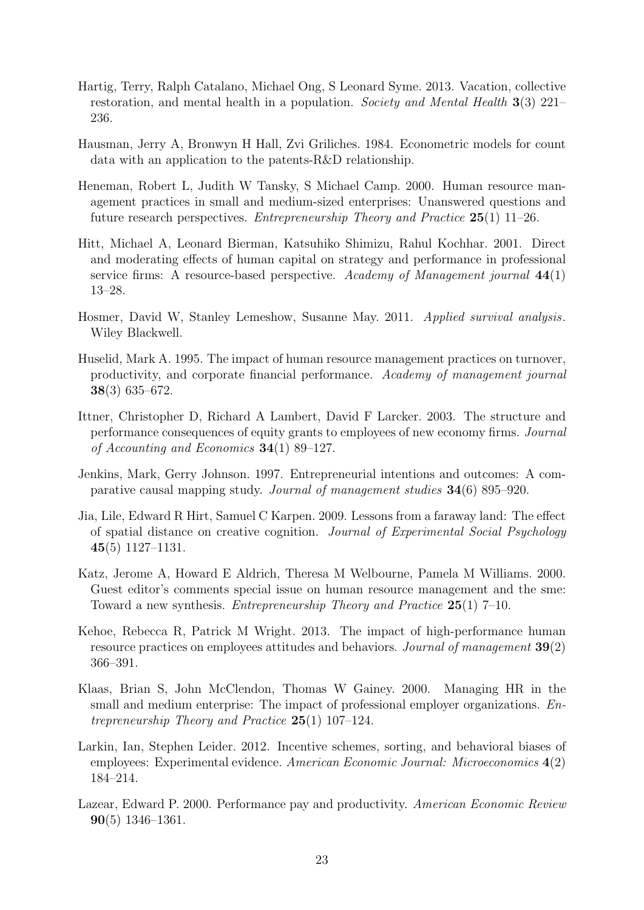- <span id="page-22-4"></span>Hartig, Terry, Ralph Catalano, Michael Ong, S Leonard Syme. 2013. Vacation, collective restoration, and mental health in a population. Society and Mental Health  $3(3)$  221– 236.
- Hausman, Jerry A, Bronwyn H Hall, Zvi Griliches. 1984. Econometric models for count data with an application to the patents-R&D relationship.
- <span id="page-22-9"></span>Heneman, Robert L, Judith W Tansky, S Michael Camp. 2000. Human resource management practices in small and medium-sized enterprises: Unanswered questions and future research perspectives. *Entrepreneurship Theory and Practice*  $25(1)$  11–26.
- <span id="page-22-6"></span>Hitt, Michael A, Leonard Bierman, Katsuhiko Shimizu, Rahul Kochhar. 2001. Direct and moderating effects of human capital on strategy and performance in professional service firms: A resource-based perspective. Academy of Management journal  $44(1)$ 13–28.
- <span id="page-22-12"></span>Hosmer, David W, Stanley Lemeshow, Susanne May. 2011. Applied survival analysis. Wiley Blackwell.
- <span id="page-22-7"></span>Huselid, Mark A. 1995. The impact of human resource management practices on turnover, productivity, and corporate financial performance. Academy of management journal 38(3) 635–672.
- <span id="page-22-1"></span>Ittner, Christopher D, Richard A Lambert, David F Larcker. 2003. The structure and performance consequences of equity grants to employees of new economy firms. Journal of Accounting and Economics 34(1) 89–127.
- <span id="page-22-11"></span>Jenkins, Mark, Gerry Johnson. 1997. Entrepreneurial intentions and outcomes: A comparative causal mapping study. Journal of management studies 34(6) 895–920.
- <span id="page-22-5"></span>Jia, Lile, Edward R Hirt, Samuel C Karpen. 2009. Lessons from a faraway land: The effect of spatial distance on creative cognition. Journal of Experimental Social Psychology 45(5) 1127–1131.
- <span id="page-22-10"></span>Katz, Jerome A, Howard E Aldrich, Theresa M Welbourne, Pamela M Williams. 2000. Guest editor's comments special issue on human resource management and the sme: Toward a new synthesis. Entrepreneurship Theory and Practice 25(1) 7–10.
- <span id="page-22-8"></span>Kehoe, Rebecca R, Patrick M Wright. 2013. The impact of high-performance human resource practices on employees attitudes and behaviors. Journal of management 39(2) 366–391.
- <span id="page-22-3"></span>Klaas, Brian S, John McClendon, Thomas W Gainey. 2000. Managing HR in the small and medium enterprise: The impact of professional employer organizations. Entrepreneurship Theory and Practice 25(1) 107–124.
- <span id="page-22-2"></span>Larkin, Ian, Stephen Leider. 2012. Incentive schemes, sorting, and behavioral biases of employees: Experimental evidence. American Economic Journal: Microeconomics 4(2) 184–214.
- <span id="page-22-0"></span>Lazear, Edward P. 2000. Performance pay and productivity. American Economic Review 90(5) 1346–1361.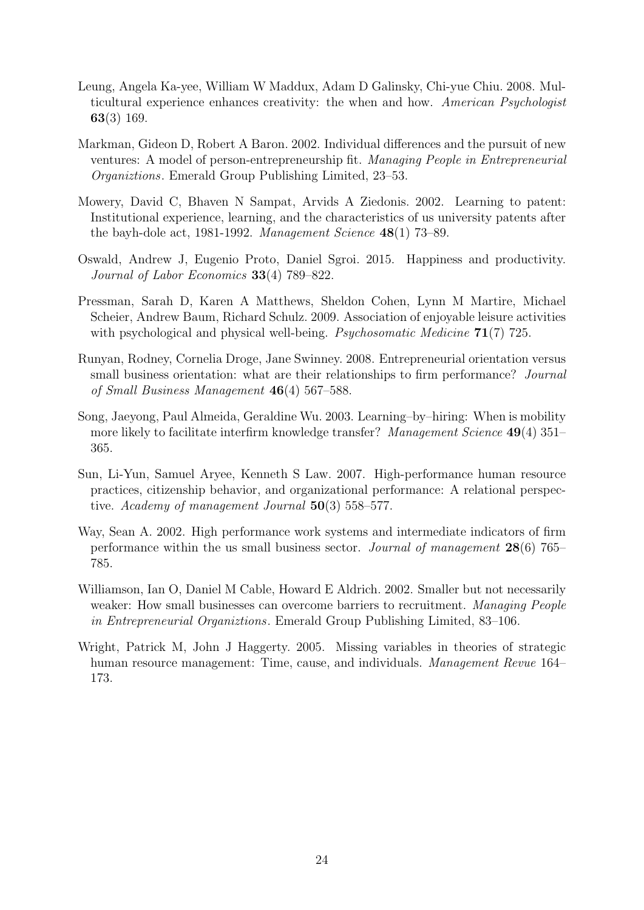- <span id="page-23-2"></span>Leung, Angela Ka-yee, William W Maddux, Adam D Galinsky, Chi-yue Chiu. 2008. Multicultural experience enhances creativity: the when and how. American Psychologist 63(3) 169.
- <span id="page-23-5"></span>Markman, Gideon D, Robert A Baron. 2002. Individual differences and the pursuit of new ventures: A model of person-entrepreneurship fit. Managing People in Entrepreneurial Organiztions. Emerald Group Publishing Limited, 23–53.
- Mowery, David C, Bhaven N Sampat, Arvids A Ziedonis. 2002. Learning to patent: Institutional experience, learning, and the characteristics of us university patents after the bayh-dole act, 1981-1992. Management Science  $48(1)$  73–89.
- <span id="page-23-8"></span>Oswald, Andrew J, Eugenio Proto, Daniel Sgroi. 2015. Happiness and productivity. Journal of Labor Economics 33(4) 789–822.
- <span id="page-23-1"></span>Pressman, Sarah D, Karen A Matthews, Sheldon Cohen, Lynn M Martire, Michael Scheier, Andrew Baum, Richard Schulz. 2009. Association of enjoyable leisure activities with psychological and physical well-being. *Psychosomatic Medicine* **71**(7) 725.
- <span id="page-23-6"></span>Runyan, Rodney, Cornelia Droge, Jane Swinney. 2008. Entrepreneurial orientation versus small business orientation: what are their relationships to firm performance? *Journal* of Small Business Management 46(4) 567–588.
- Song, Jaeyong, Paul Almeida, Geraldine Wu. 2003. Learning–by–hiring: When is mobility more likely to facilitate interfirm knowledge transfer? *Management Science* 49(4) 351– 365.
- <span id="page-23-4"></span>Sun, Li-Yun, Samuel Aryee, Kenneth S Law. 2007. High-performance human resource practices, citizenship behavior, and organizational performance: A relational perspective. Academy of management Journal 50(3) 558–577.
- <span id="page-23-3"></span>Way, Sean A. 2002. High performance work systems and intermediate indicators of firm performance within the us small business sector. Journal of management  $28(6)$  765– 785.
- <span id="page-23-7"></span>Williamson, Ian O, Daniel M Cable, Howard E Aldrich. 2002. Smaller but not necessarily weaker: How small businesses can overcome barriers to recruitment. Managing People in Entrepreneurial Organiztions. Emerald Group Publishing Limited, 83–106.
- <span id="page-23-0"></span>Wright, Patrick M, John J Haggerty. 2005. Missing variables in theories of strategic human resource management: Time, cause, and individuals. *Management Revue* 164– 173.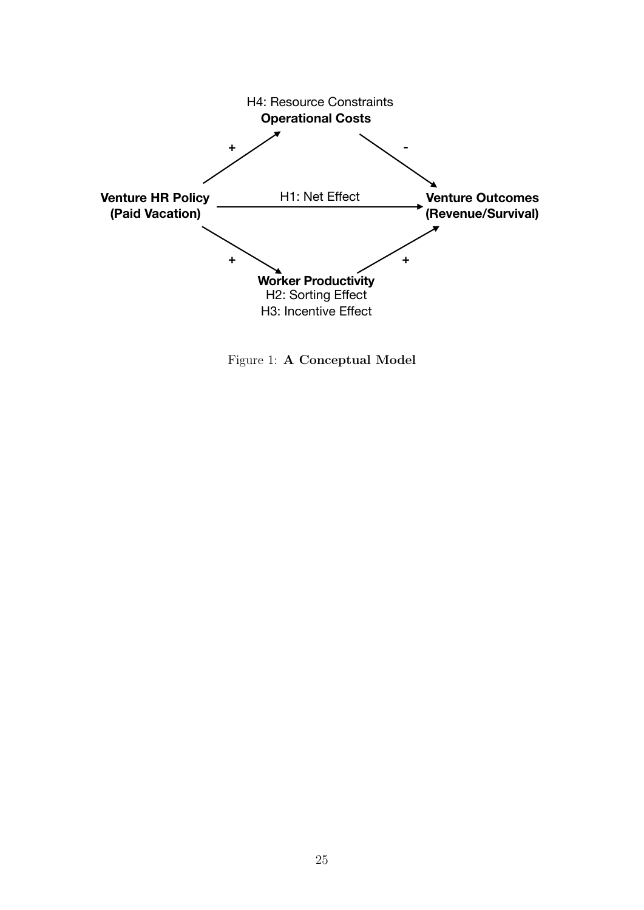<span id="page-24-0"></span>

Figure 1: A Conceptual Model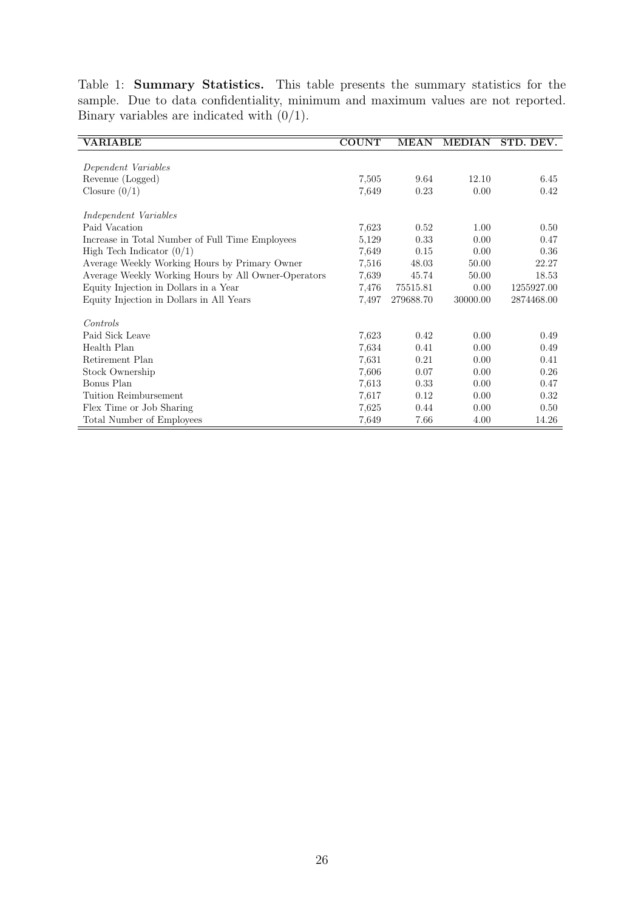<span id="page-25-0"></span>Table 1: Summary Statistics. This table presents the summary statistics for the sample. Due to data confidentiality, minimum and maximum values are not reported. Binary variables are indicated with  $(0/1)$ .

| <b>VARIABLE</b>                                     | <b>COUNT</b> | <b>MEAN</b> | <b>MEDIAN</b> | STD. DEV.  |
|-----------------------------------------------------|--------------|-------------|---------------|------------|
|                                                     |              |             |               |            |
| Dependent Variables                                 |              |             |               |            |
| Revenue (Logged)                                    | 7,505        | 9.64        | 12.10         | 6.45       |
| Closure $(0/1)$                                     | 7,649        | 0.23        | 0.00          | 0.42       |
| <i>Independent Variables</i>                        |              |             |               |            |
| Paid Vacation                                       | 7,623        | 0.52        | 1.00          | 0.50       |
| Increase in Total Number of Full Time Employees     | 5,129        | 0.33        | 0.00          | 0.47       |
| High Tech Indicator $(0/1)$                         | 7,649        | 0.15        | 0.00          | 0.36       |
| Average Weekly Working Hours by Primary Owner       | 7,516        | 48.03       | 50.00         | 22.27      |
| Average Weekly Working Hours by All Owner-Operators | 7,639        | 45.74       | 50.00         | 18.53      |
| Equity Injection in Dollars in a Year               | 7,476        | 75515.81    | 0.00          | 1255927.00 |
| Equity Injection in Dollars in All Years            | 7,497        | 279688.70   | 30000.00      | 2874468.00 |
| Controls                                            |              |             |               |            |
| Paid Sick Leave                                     | 7,623        | 0.42        | 0.00          | 0.49       |
| Health Plan                                         | 7,634        | 0.41        | 0.00          | 0.49       |
| Retirement Plan                                     | 7.631        | 0.21        | 0.00          | 0.41       |
| Stock Ownership                                     | 7,606        | 0.07        | 0.00          | 0.26       |
| Bonus Plan                                          | 7,613        | 0.33        | 0.00          | 0.47       |
| Tuition Reimbursement                               | 7,617        | 0.12        | 0.00          | 0.32       |
| Flex Time or Job Sharing                            | 7,625        | 0.44        | 0.00          | 0.50       |
| Total Number of Employees                           | 7,649        | 7.66        | 4.00          | 14.26      |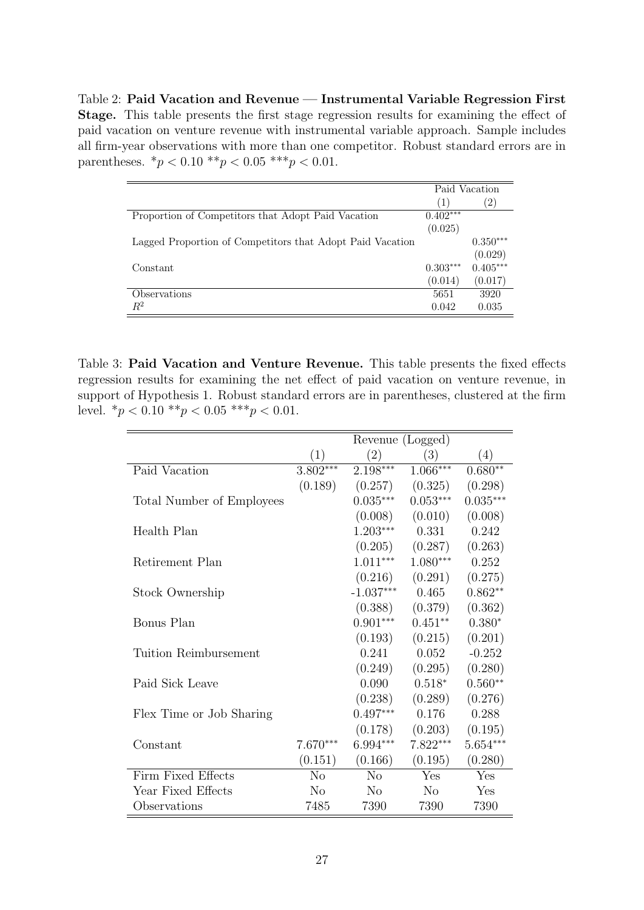<span id="page-26-0"></span>Table 2: Paid Vacation and Revenue — Instrumental Variable Regression First Stage. This table presents the first stage regression results for examining the effect of paid vacation on venture revenue with instrumental variable approach. Sample includes all firm-year observations with more than one competitor. Robust standard errors are in parentheses.  $*_{p}$  < 0.10  $**_{p}$  < 0.05  $***_{p}$  < 0.01.

|                                                           |            | Paid Vacation     |
|-----------------------------------------------------------|------------|-------------------|
|                                                           | (1)        | $\left( 2\right)$ |
| Proportion of Competitors that Adopt Paid Vacation        | $0.402***$ |                   |
|                                                           | (0.025)    |                   |
| Lagged Proportion of Competitors that Adopt Paid Vacation |            | $0.350***$        |
|                                                           |            | (0.029)           |
| Constant                                                  | $0.303***$ | $0.405***$        |
|                                                           | (0.014)    | (0.017)           |
| Observations                                              | 5651       | 3920              |
| $\,R^2$                                                   | 0.042      | 0.035             |

<span id="page-26-1"></span>Table 3: Paid Vacation and Venture Revenue. This table presents the fixed effects regression results for examining the net effect of paid vacation on venture revenue, in support of Hypothesis [1.](#page-8-1) Robust standard errors are in parentheses, clustered at the firm level.  $*_p$  < 0.10  $*_p$  < 0.05  $**_p$  < 0.01.

|                           |                | Revenue (Logged) |                |            |  |
|---------------------------|----------------|------------------|----------------|------------|--|
|                           | (1)            | (2)              | (3)            | (4)        |  |
| Paid Vacation             | $3.802***$     | $2.198***$       | $1.066***$     | $0.680**$  |  |
|                           | (0.189)        | (0.257)          | (0.325)        | (0.298)    |  |
| Total Number of Employees |                | $0.035***$       | $0.053***$     | $0.035***$ |  |
|                           |                | (0.008)          | (0.010)        | (0.008)    |  |
| Health Plan               |                | $1.203***$       | 0.331          | 0.242      |  |
|                           |                | (0.205)          | (0.287)        | (0.263)    |  |
| Retirement Plan           |                | $1.011***$       | $1.080***$     | 0.252      |  |
|                           |                | (0.216)          | (0.291)        | (0.275)    |  |
| Stock Ownership           |                | $-1.037***$      | 0.465          | $0.862**$  |  |
|                           |                | (0.388)          | (0.379)        | (0.362)    |  |
| Bonus Plan                |                | $0.901***$       | $0.451**$      | $0.380*$   |  |
|                           |                | (0.193)          | (0.215)        | (0.201)    |  |
| Tuition Reimbursement     |                | 0.241            | 0.052          | $-0.252$   |  |
|                           |                | (0.249)          | (0.295)        | (0.280)    |  |
| Paid Sick Leave           |                | 0.090            | $0.518*$       | $0.560**$  |  |
|                           |                | (0.238)          | (0.289)        | (0.276)    |  |
| Flex Time or Job Sharing  |                | $0.497***$       | 0.176          | 0.288      |  |
|                           |                | (0.178)          | (0.203)        | (0.195)    |  |
| Constant                  | $7.670***$     | 6.994***         | $7.822***$     | $5.654***$ |  |
|                           | (0.151)        | (0.166)          | (0.195)        | (0.280)    |  |
| Firm Fixed Effects        | N <sub>o</sub> | N <sub>o</sub>   | Yes            | Yes        |  |
| Year Fixed Effects        | N <sub>o</sub> | $\rm No$         | N <sub>o</sub> | Yes        |  |
| Observations              | 7485           | 7390             | 7390           | 7390       |  |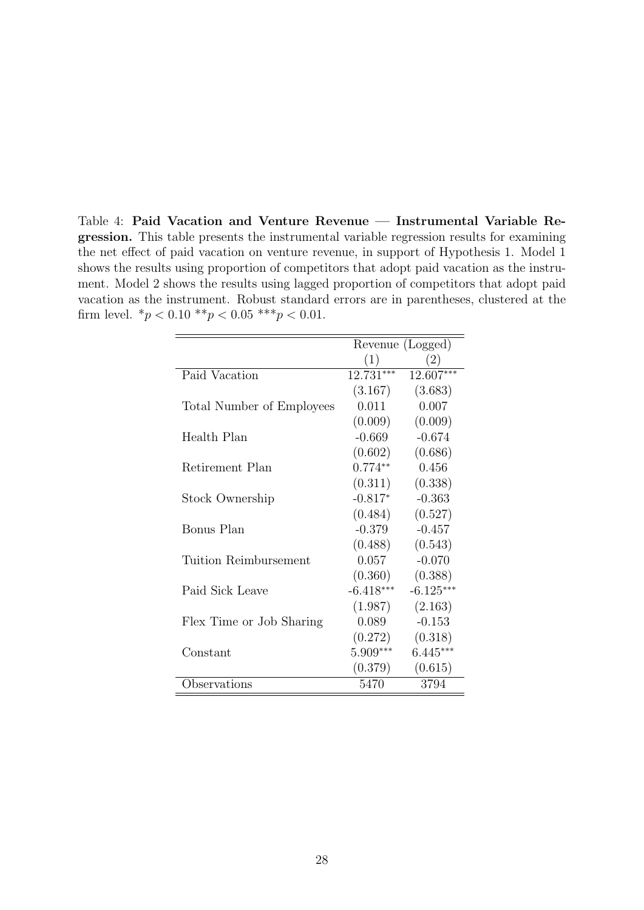<span id="page-27-0"></span>Table 4: Paid Vacation and Venture Revenue — Instrumental Variable Regression. This table presents the instrumental variable regression results for examining the net effect of paid vacation on venture revenue, in support of Hypothesis [1.](#page-8-1) Model 1 shows the results using proportion of competitors that adopt paid vacation as the instrument. Model 2 shows the results using lagged proportion of competitors that adopt paid vacation as the instrument. Robust standard errors are in parentheses, clustered at the firm level.  $*_p$  < 0.10  $**_p$  < 0.05  $***_p$  < 0.01.

|                           | Revenue (Logged) |                   |  |
|---------------------------|------------------|-------------------|--|
|                           | (1)              | $\left( 2\right)$ |  |
| Paid Vacation             | $12.731***$      | 12.607***         |  |
|                           | (3.167)          | (3.683)           |  |
| Total Number of Employees | 0.011            | 0.007             |  |
|                           | (0.009)          | (0.009)           |  |
| Health Plan               | $-0.669$         | $-0.674$          |  |
|                           | (0.602)          | (0.686)           |  |
| Retirement Plan           | $0.774**$        | 0.456             |  |
|                           | (0.311)          | (0.338)           |  |
| Stock Ownership           | $-0.817*$        | $-0.363$          |  |
|                           | (0.484)          | (0.527)           |  |
| Bonus Plan                | $-0.379$         | $-0.457$          |  |
|                           | (0.488)          | (0.543)           |  |
| Tuition Reimbursement     | 0.057            | $-0.070$          |  |
|                           | (0.360)          | (0.388)           |  |
| Paid Sick Leave           | $-6.418***$      | $-6.125***$       |  |
|                           | (1.987)          | (2.163)           |  |
| Flex Time or Job Sharing  | 0.089            | $-0.153$          |  |
|                           | (0.272)          | (0.318)           |  |
| Constant                  | 5.909***         | $6.445***$        |  |
|                           | (0.379)          | (0.615)           |  |
| Observations              | 5470             | 3794              |  |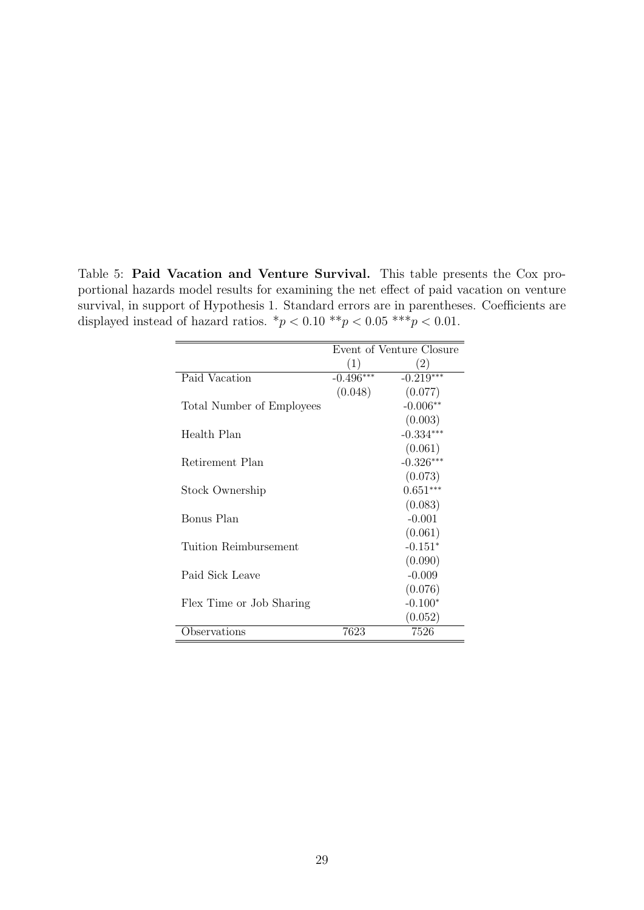<span id="page-28-0"></span>Table 5: Paid Vacation and Venture Survival. This table presents the Cox proportional hazards model results for examining the net effect of paid vacation on venture survival, in support of Hypothesis [1.](#page-8-1) Standard errors are in parentheses. Coefficients are displayed instead of hazard ratios.  $*p < 0.10$   $**p < 0.05$   $***p < 0.01$ .

|                           | Event of Venture Closure |                   |  |
|---------------------------|--------------------------|-------------------|--|
|                           | (1)                      | $\left( 2\right)$ |  |
| Paid Vacation             | $-0.496***$              | $-0.219***$       |  |
|                           | (0.048)                  | (0.077)           |  |
| Total Number of Employees |                          | $-0.006**$        |  |
|                           |                          | (0.003)           |  |
| Health Plan               |                          | $-0.334***$       |  |
|                           |                          | (0.061)           |  |
| Retirement Plan           |                          | $-0.326***$       |  |
|                           |                          | (0.073)           |  |
| Stock Ownership           |                          | $0.651***$        |  |
|                           |                          | (0.083)           |  |
| Bonus Plan                |                          | $-0.001$          |  |
|                           |                          | (0.061)           |  |
| Tuition Reimbursement     |                          | $-0.151*$         |  |
|                           |                          | (0.090)           |  |
| Paid Sick Leave           |                          | $-0.009$          |  |
|                           |                          | (0.076)           |  |
| Flex Time or Job Sharing  |                          | $-0.100*$         |  |
|                           |                          | (0.052)           |  |
| Observations              | 7623                     | 7526              |  |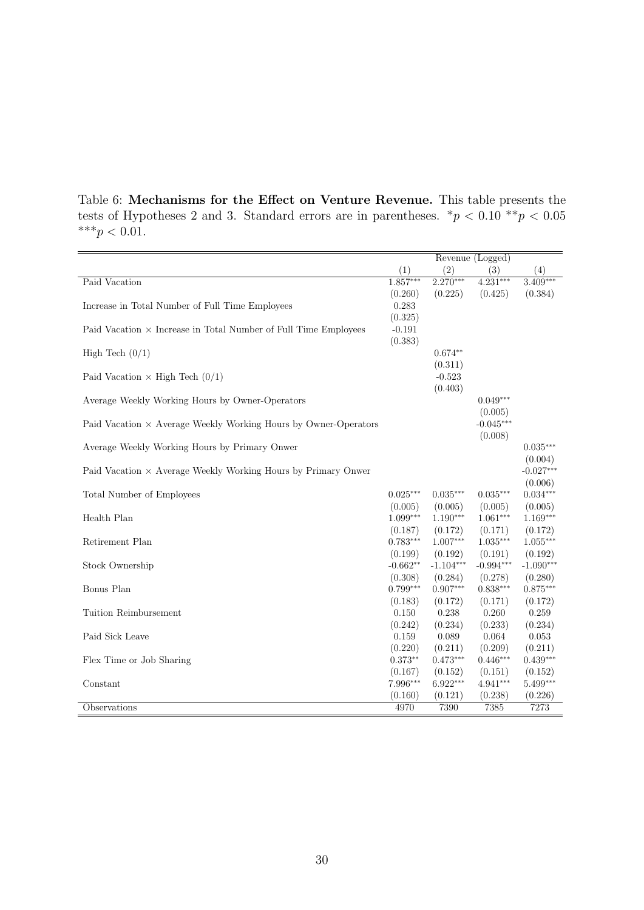<span id="page-29-0"></span>Table 6: Mechanisms for the Effect on Venture Revenue. This table presents the tests of Hypotheses [2](#page-9-1) and [3.](#page-9-2) Standard errors are in parentheses.  $*p < 0.10 **p < 0.05$ \*\*\* $p < 0.01$ .

|                                                                        |                       | Revenue (Logged)      |                       |                       |
|------------------------------------------------------------------------|-----------------------|-----------------------|-----------------------|-----------------------|
|                                                                        | (1)                   | (2)                   | (3)                   | (4)                   |
| Paid Vacation                                                          | $1.857***$            | $2.270***$            | $4.231***$            | $3.409***$            |
|                                                                        | (0.260)               | (0.225)               | (0.425)               | (0.384)               |
| Increase in Total Number of Full Time Employees                        | 0.283                 |                       |                       |                       |
|                                                                        | (0.325)               |                       |                       |                       |
| Paid Vacation $\times$ Increase in Total Number of Full Time Employees | $-0.191$              |                       |                       |                       |
|                                                                        | (0.383)               |                       |                       |                       |
| High Tech $(0/1)$                                                      |                       | $0.674**$             |                       |                       |
|                                                                        |                       | (0.311)               |                       |                       |
| Paid Vacation $\times$ High Tech $(0/1)$                               |                       | $-0.523$<br>(0.403)   |                       |                       |
| Average Weekly Working Hours by Owner-Operators                        |                       |                       | $0.049***$            |                       |
|                                                                        |                       |                       | (0.005)               |                       |
| Paid Vacation $\times$ Average Weekly Working Hours by Owner-Operators |                       |                       | $-0.045***$           |                       |
|                                                                        |                       |                       | (0.008)               |                       |
| Average Weekly Working Hours by Primary Onwer                          |                       |                       |                       | $0.035***$            |
|                                                                        |                       |                       |                       | (0.004)               |
| Paid Vacation $\times$ Average Weekly Working Hours by Primary Onwer   |                       |                       |                       | $-0.027***$           |
|                                                                        |                       |                       |                       | (0.006)               |
| Total Number of Employees                                              | $0.025***$            | $0.035***$            | $0.035***$            | $0.034***$            |
|                                                                        | (0.005)               | (0.005)               | (0.005)               | (0.005)               |
| Health Plan                                                            | $1.099***$            | $1.190***$            | $1.061***$            | $1.169***$            |
|                                                                        | (0.187)               | (0.172)               | (0.171)               | (0.172)               |
| Retirement Plan                                                        | $0.783***$            | $1.007***$            | $1.035***$            | $1.055***$            |
|                                                                        | (0.199)               | (0.192)               | (0.191)               | (0.192)               |
| Stock Ownership                                                        | $-0.662**$            | $-1.104***$           | $-0.994***$           | $-1.090***$           |
| Bonus Plan                                                             | (0.308)<br>$0.799***$ | (0.284)<br>$0.907***$ | (0.278)<br>$0.838***$ | (0.280)<br>$0.875***$ |
|                                                                        | (0.183)               | (0.172)               | (0.171)               | (0.172)               |
| Tuition Reimbursement                                                  | 0.150                 | 0.238                 | 0.260                 | 0.259                 |
|                                                                        | (0.242)               | (0.234)               | (0.233)               | (0.234)               |
| Paid Sick Leave                                                        | 0.159                 | 0.089                 | 0.064                 | 0.053                 |
|                                                                        | (0.220)               | (0.211)               | (0.209)               | (0.211)               |
| Flex Time or Job Sharing                                               | $0.373**$             | $0.473***$            | $0.446***$            | $0.439***$            |
|                                                                        | (0.167)               | (0.152)               | (0.151)               | (0.152)               |
| Constant                                                               | 7.996***              | $6.922***$            | $4.941***$            | $5.499***$            |
|                                                                        | (0.160)               | (0.121)               | (0.238)               | (0.226)               |
| Observations                                                           | 4970                  | 7390                  | 7385                  | 7273                  |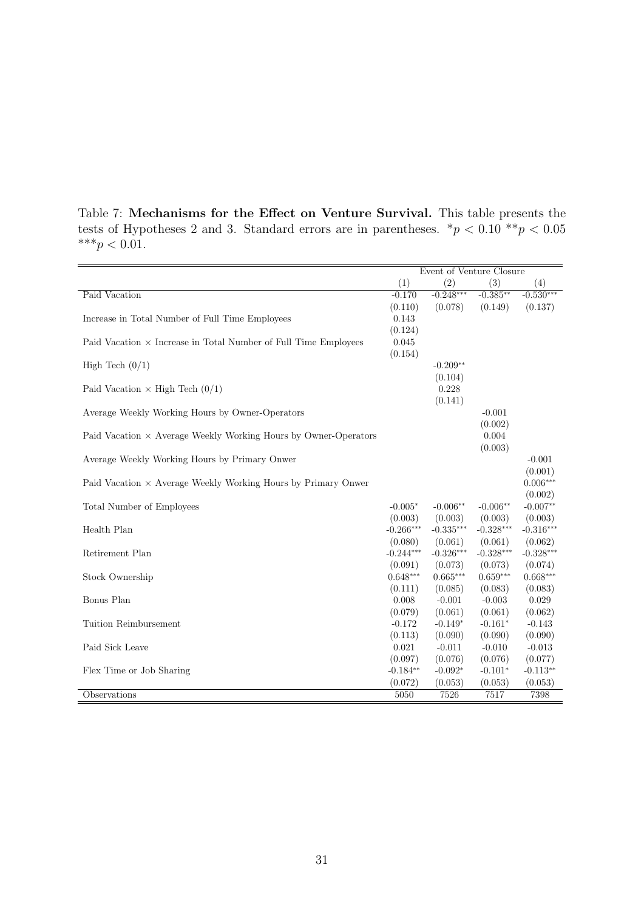<span id="page-30-0"></span>

|  | Table 7: Mechanisms for the Effect on Venture Survival. This table presents the              |  |  |  |  |  |
|--|----------------------------------------------------------------------------------------------|--|--|--|--|--|
|  | tests of Hypotheses 2 and 3. Standard errors are in parentheses. $\pi p < 0.10 \pi p < 0.05$ |  |  |  |  |  |
|  | *** $p < 0.01$ .                                                                             |  |  |  |  |  |

|                                                                        | Event of Venture Closure |             |             |             |
|------------------------------------------------------------------------|--------------------------|-------------|-------------|-------------|
|                                                                        | (1)                      | (2)         | (3)         | (4)         |
| Paid Vacation                                                          | $-0.170$                 | $-0.248***$ | $-0.385**$  | $-0.530***$ |
|                                                                        | (0.110)                  | (0.078)     | (0.149)     | (0.137)     |
| Increase in Total Number of Full Time Employees                        | 0.143                    |             |             |             |
|                                                                        | (0.124)                  |             |             |             |
| Paid Vacation $\times$ Increase in Total Number of Full Time Employees | 0.045                    |             |             |             |
|                                                                        | (0.154)                  |             |             |             |
| High Tech $(0/1)$                                                      |                          | $-0.209**$  |             |             |
|                                                                        |                          | (0.104)     |             |             |
| Paid Vacation $\times$ High Tech (0/1)                                 |                          | 0.228       |             |             |
|                                                                        |                          | (0.141)     |             |             |
| Average Weekly Working Hours by Owner-Operators                        |                          |             | $-0.001$    |             |
|                                                                        |                          |             | (0.002)     |             |
| Paid Vacation $\times$ Average Weekly Working Hours by Owner-Operators |                          |             | 0.004       |             |
|                                                                        |                          |             | (0.003)     |             |
| Average Weekly Working Hours by Primary Onwer                          |                          |             |             | $-0.001$    |
|                                                                        |                          |             |             | (0.001)     |
| Paid Vacation $\times$ Average Weekly Working Hours by Primary Onwer   |                          |             |             | $0.006***$  |
|                                                                        |                          |             |             | (0.002)     |
| Total Number of Employees                                              | $-0.005*$                | $-0.006**$  | $-0.006**$  | $-0.007**$  |
|                                                                        | (0.003)                  | (0.003)     | (0.003)     | (0.003)     |
| Health Plan                                                            | $-0.266***$              | $-0.335***$ | $-0.328***$ | $-0.316***$ |
|                                                                        | (0.080)                  | (0.061)     | (0.061)     | (0.062)     |
| Retirement Plan                                                        | $-0.244***$              | $-0.326***$ | $-0.328***$ | $-0.328***$ |
|                                                                        | (0.091)                  | (0.073)     | (0.073)     | (0.074)     |
| Stock Ownership                                                        | $0.648***$               | $0.665***$  | $0.659***$  | $0.668***$  |
|                                                                        | (0.111)                  | (0.085)     | (0.083)     | (0.083)     |
| Bonus Plan                                                             | 0.008                    | $-0.001$    | $-0.003$    | 0.029       |
|                                                                        | (0.079)                  | (0.061)     | (0.061)     | (0.062)     |
| Tuition Reimbursement                                                  | $-0.172$                 | $-0.149*$   | $-0.161*$   | $-0.143$    |
|                                                                        | (0.113)                  | (0.090)     | (0.090)     | (0.090)     |
| Paid Sick Leave                                                        | 0.021                    | $-0.011$    | $-0.010$    | $-0.013$    |
|                                                                        | (0.097)                  | (0.076)     | (0.076)     | (0.077)     |
| Flex Time or Job Sharing                                               | $-0.184**$               | $-0.092*$   | $-0.101*$   | $-0.113**$  |
|                                                                        | (0.072)                  | (0.053)     | (0.053)     | (0.053)     |
| Observations                                                           | 5050                     | 7526        | 7517        | 7398        |
|                                                                        |                          |             |             |             |